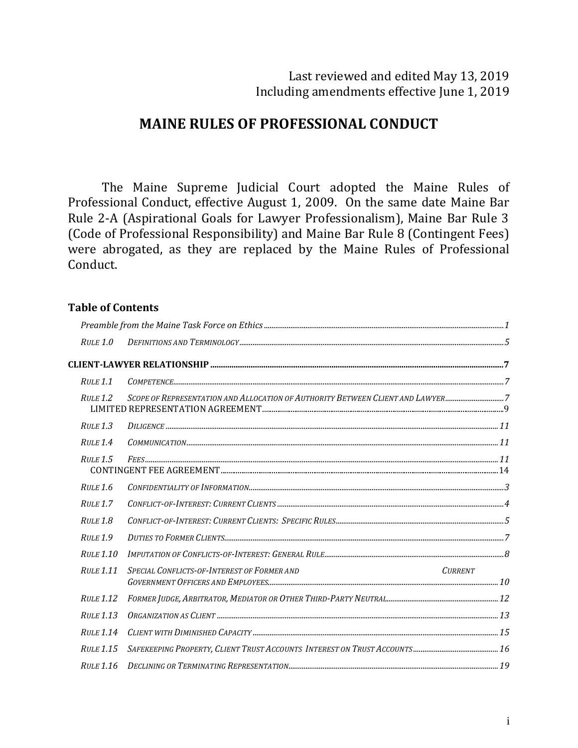# **MAINE RULES OF PROFESSIONAL CONDUCT**

The Maine Supreme Judicial Court adopted the Maine Rules of Professional Conduct, effective August 1, 2009. On the same date Maine Bar Rule 2-A (Aspirational Goals for Lawyer Professionalism), Maine Bar Rule 3 (Code of Professional Responsibility) and Maine Bar Rule 8 (Contingent Fees) were abrogated, as they are replaced by the Maine Rules of Professional Conduct.

#### **Table of Contents**

| $R$ III.E 1. $\theta$ |                                                                                |  |
|-----------------------|--------------------------------------------------------------------------------|--|
|                       |                                                                                |  |
| $R$ III.E 1.1         |                                                                                |  |
| $R$ ULE $1.2$         | SCOPE OF REPRESENTATION AND ALLOCATION OF AUTHORITY BETWEEN CLIENT AND LAWYER7 |  |
| <b>RULE 1.3</b>       |                                                                                |  |
| $R$ <i>ULE</i> $1.4$  |                                                                                |  |
| <b>RULE 1.5</b>       |                                                                                |  |
| <b>RULE 1.6</b>       |                                                                                |  |
| $R$ ULE $1.7$         |                                                                                |  |
| <b>RULE 1.8</b>       |                                                                                |  |
| $R$ III.E $1.9$       |                                                                                |  |
| <b>RIILE 1.10</b>     |                                                                                |  |
| <b>RIILE 1.11</b>     |                                                                                |  |
| $R$ III.E 1.12        |                                                                                |  |
| RIILE 1.13            |                                                                                |  |
| <b>RULE 1.14</b>      |                                                                                |  |
| <b>RULE 1.15</b>      |                                                                                |  |
|                       |                                                                                |  |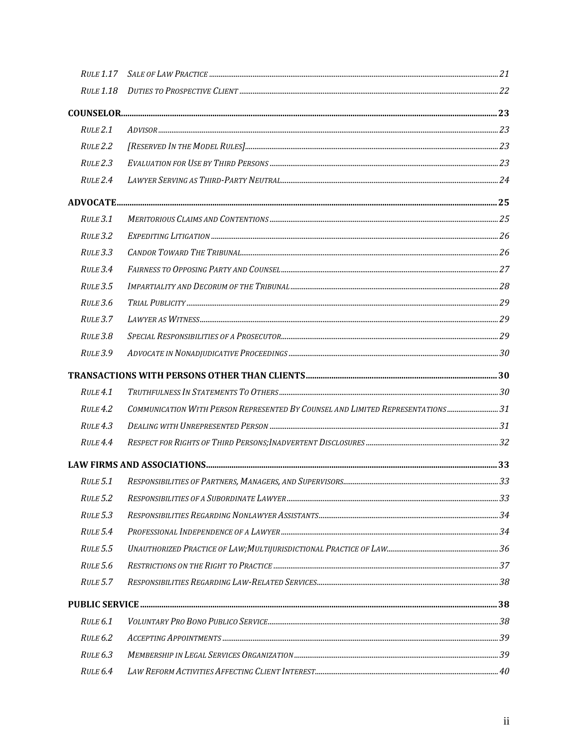| RULE 1.18           |                                                                                 |  |
|---------------------|---------------------------------------------------------------------------------|--|
|                     |                                                                                 |  |
| RULE2.1             |                                                                                 |  |
| $R$ ULE 2.2         |                                                                                 |  |
| RULE 2.3            |                                                                                 |  |
| $R$ III.E 2.4       |                                                                                 |  |
|                     |                                                                                 |  |
| <b>RULE 3.1</b>     |                                                                                 |  |
| RULE 3.2            |                                                                                 |  |
| RULE 3.3            |                                                                                 |  |
| RULE 3.4            |                                                                                 |  |
| <b>RULE 3.5</b>     |                                                                                 |  |
| <b>RULE 3.6</b>     |                                                                                 |  |
| RULE 3.7            |                                                                                 |  |
| RULE 3.8            |                                                                                 |  |
| <b>RULE 3.9</b>     |                                                                                 |  |
|                     |                                                                                 |  |
| $R$ ULE 4.1         |                                                                                 |  |
| RULE 4.2            | COMMUNICATION WITH PERSON REPRESENTED BY COUNSEL AND LIMITED REPRESENTATIONS 31 |  |
| RULE 4.3            |                                                                                 |  |
| $R$ ULE 4.4         |                                                                                 |  |
|                     |                                                                                 |  |
| <b>RULE 5.1</b>     |                                                                                 |  |
| <b>RULE 5.2</b>     |                                                                                 |  |
| <b>RULE 5.3</b>     |                                                                                 |  |
| <b>RULE 5.4</b>     |                                                                                 |  |
| <b>RULE 5.5</b>     |                                                                                 |  |
| <b>RULE 5.6</b>     |                                                                                 |  |
| <b>RULE 5.7</b>     |                                                                                 |  |
|                     |                                                                                 |  |
| RULE <sub>6.1</sub> |                                                                                 |  |
| RULE <sub>6.2</sub> |                                                                                 |  |
| <b>RULE 6.3</b>     |                                                                                 |  |
| RULE <sub>6.4</sub> |                                                                                 |  |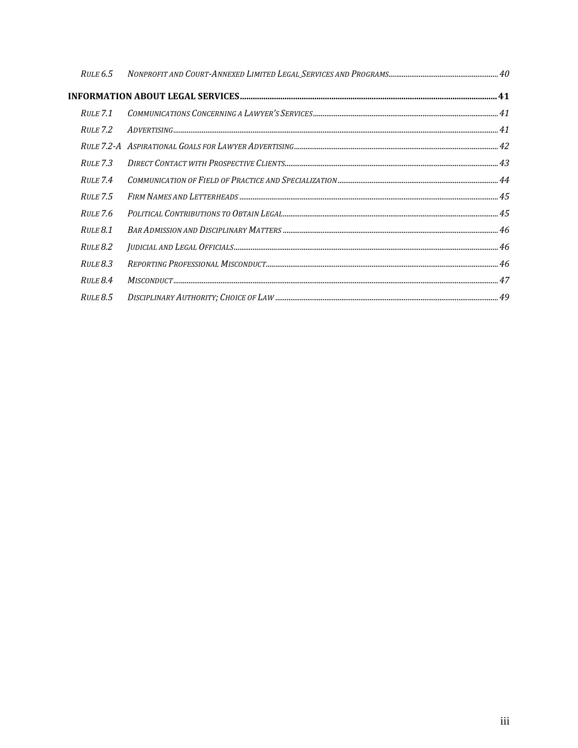| RIILE 7.1        |  |
|------------------|--|
| RULE 7.2         |  |
|                  |  |
| RULE 7.3         |  |
| RIILE 7.4        |  |
| <b>RIILE 7.5</b> |  |
| RULE 7.6         |  |
| RULE 8.1         |  |
| <b>RULE 8.2</b>  |  |
| $R$ III.E $8.3$  |  |
| RULE 8.4         |  |
| RULE 8.5         |  |
|                  |  |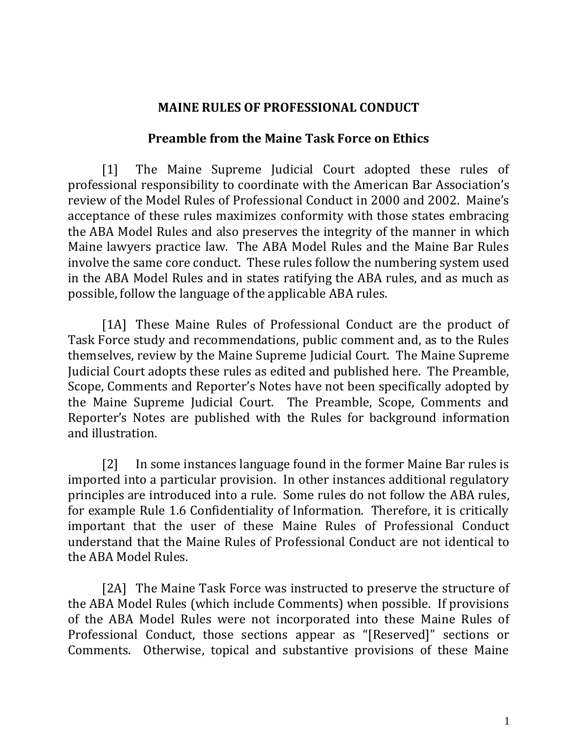#### **MAINE RULES OF PROFESSIONAL CONDUCT**

#### **Preamble from the Maine Task Force on Ethics**

<span id="page-3-0"></span>[1] The Maine Supreme Judicial Court adopted these rules of professional responsibility to coordinate with the American Bar Association's review of the Model Rules of Professional Conduct in 2000 and 2002. Maine's acceptance of these rules maximizes conformity with those states embracing the ABA Model Rules and also preserves the integrity of the manner in which Maine lawyers practice law. The ABA Model Rules and the Maine Bar Rules involve the same core conduct. These rules follow the numbering system used in the ABA Model Rules and in states ratifying the ABA rules, and as much as possible, follow the language of the applicable ABA rules.

[1A] These Maine Rules of Professional Conduct are the product of Task Force study and recommendations, public comment and, as to the Rules themselves, review by the Maine Supreme Judicial Court. The Maine Supreme Judicial Court adopts these rules as edited and published here. The Preamble, Scope, Comments and Reporter's Notes have not been specifically adopted by the Maine Supreme Judicial Court. The Preamble, Scope, Comments and Reporter's Notes are published with the Rules for background information and illustration.

[2] In some instances language found in the former Maine Bar rules is imported into a particular provision. In other instances additional regulatory principles are introduced into a rule. Some rules do not follow the ABA rules, for example Rule 1.6 Confidentiality of Information. Therefore, it is critically important that the user of these Maine Rules of Professional Conduct understand that the Maine Rules of Professional Conduct are not identical to the ABA Model Rules.

[2A] The Maine Task Force was instructed to preserve the structure of the ABA Model Rules (which include Comments) when possible. If provisions of the ABA Model Rules were not incorporated into these Maine Rules of Professional Conduct, those sections appear as "[Reserved]" sections or Comments. Otherwise, topical and substantive provisions of these Maine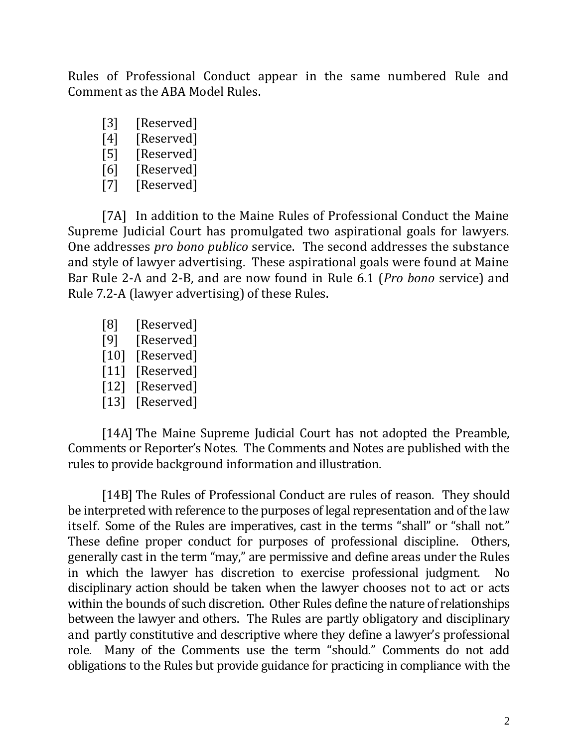Rules of Professional Conduct appear in the same numbered Rule and Comment as the ABA Model Rules.

- [3] [Reserved]
- [4] [Reserved]
- [5] [Reserved]
- [6] [Reserved]
- [7] [Reserved]

[7A] In addition to the Maine Rules of Professional Conduct the Maine Supreme Judicial Court has promulgated two aspirational goals for lawyers. One addresses *pro bono publico* service. The second addresses the substance and style of lawyer advertising. These aspirational goals were found at Maine Bar Rule 2-A and 2-B, and are now found in Rule 6.1 (*Pro bono* service) and Rule 7.2-A (lawyer advertising) of these Rules.

- [8] [Reserved]
- [9] [Reserved]
- [10] [Reserved]
- [11] [Reserved]
- [12] [Reserved]
- [13] [Reserved]

[14A] The Maine Supreme Judicial Court has not adopted the Preamble, Comments or Reporter's Notes. The Comments and Notes are published with the rules to provide background information and illustration.

[14B] The Rules of Professional Conduct are rules of reason. They should be interpreted with reference to the purposes of legal representation and of the law itself. Some of the Rules are imperatives, cast in the terms "shall" or "shall not." These define proper conduct for purposes of professional discipline. Others, generally cast in the term "may," are permissive and define areas under the Rules in which the lawyer has discretion to exercise professional judgment. No disciplinary action should be taken when the lawyer chooses not to act or acts within the bounds of such discretion. Other Rules define the nature of relationships between the lawyer and others. The Rules are partly obligatory and disciplinary and partly constitutive and descriptive where they define a lawyer's professional role. Many of the Comments use the term "should." Comments do not add obligations to the Rules but provide guidance for practicing in compliance with the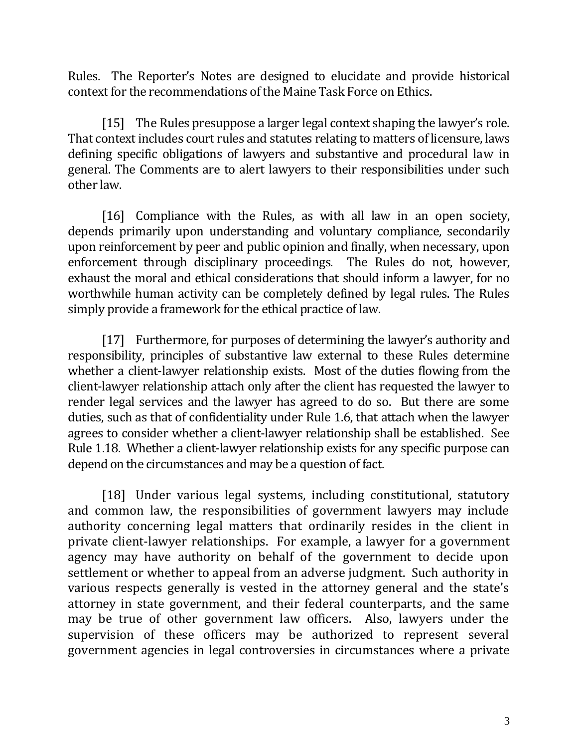Rules. The Reporter's Notes are designed to elucidate and provide historical context for the recommendations of the Maine Task Force on Ethics.

[15] The Rules presuppose a larger legal context shaping the lawyer's role. That context includes court rules and statutes relating to matters of licensure, laws defining specific obligations of lawyers and substantive and procedural law in general. The Comments are to alert lawyers to their responsibilities under such other law.

[16] Compliance with the Rules, as with all law in an open society, depends primarily upon understanding and voluntary compliance, secondarily upon reinforcement by peer and public opinion and finally, when necessary, upon enforcement through disciplinary proceedings. The Rules do not, however, exhaust the moral and ethical considerations that should inform a lawyer, for no worthwhile human activity can be completely defined by legal rules. The Rules simply provide a framework for the ethical practice of law.

[17] Furthermore, for purposes of determining the lawyer's authority and responsibility, principles of substantive law external to these Rules determine whether a client-lawyer relationship exists. Most of the duties flowing from the client-lawyer relationship attach only after the client has requested the lawyer to render legal services and the lawyer has agreed to do so. But there are some duties, such as that of confidentiality under Rule 1.6, that attach when the lawyer agrees to consider whether a client-lawyer relationship shall be established. See Rule 1.18. Whether a client-lawyer relationship exists for any specific purpose can depend on the circumstances and may be a question of fact.

[18] Under various legal systems, including constitutional, statutory and common law, the responsibilities of government lawyers may include authority concerning legal matters that ordinarily resides in the client in private client-lawyer relationships. For example, a lawyer for a government agency may have authority on behalf of the government to decide upon settlement or whether to appeal from an adverse judgment. Such authority in various respects generally is vested in the attorney general and the state's attorney in state government, and their federal counterparts, and the same may be true of other government law officers. Also, lawyers under the supervision of these officers may be authorized to represent several government agencies in legal controversies in circumstances where a private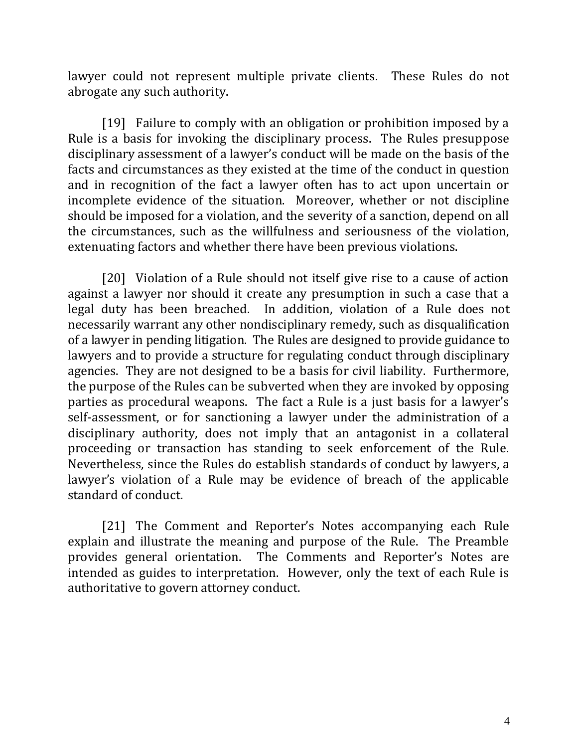lawyer could not represent multiple private clients. These Rules do not abrogate any such authority.

[19] Failure to comply with an obligation or prohibition imposed by a Rule is a basis for invoking the disciplinary process. The Rules presuppose disciplinary assessment of a lawyer's conduct will be made on the basis of the facts and circumstances as they existed at the time of the conduct in question and in recognition of the fact a lawyer often has to act upon uncertain or incomplete evidence of the situation. Moreover, whether or not discipline should be imposed for a violation, and the severity of a sanction, depend on all the circumstances, such as the willfulness and seriousness of the violation, extenuating factors and whether there have been previous violations.

[20] Violation of a Rule should not itself give rise to a cause of action against a lawyer nor should it create any presumption in such a case that a legal duty has been breached. In addition, violation of a Rule does not necessarily warrant any other nondisciplinary remedy, such as disqualification of a lawyer in pending litigation. The Rules are designed to provide guidance to lawyers and to provide a structure for regulating conduct through disciplinary agencies. They are not designed to be a basis for civil liability. Furthermore, the purpose of the Rules can be subverted when they are invoked by opposing parties as procedural weapons. The fact a Rule is a just basis for a lawyer's self-assessment, or for sanctioning a lawyer under the administration of a disciplinary authority, does not imply that an antagonist in a collateral proceeding or transaction has standing to seek enforcement of the Rule. Nevertheless, since the Rules do establish standards of conduct by lawyers, a lawyer's violation of a Rule may be evidence of breach of the applicable standard of conduct.

[21] The Comment and Reporter's Notes accompanying each Rule explain and illustrate the meaning and purpose of the Rule. The Preamble provides general orientation. The Comments and Reporter's Notes are intended as guides to interpretation. However, only the text of each Rule is authoritative to govern attorney conduct.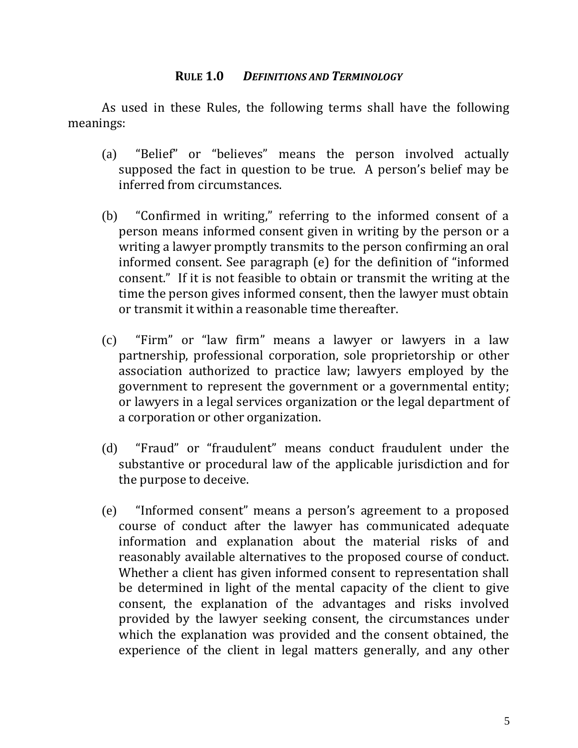#### **RULE 1.0** *DEFINITIONS AND TERMINOLOGY*

<span id="page-7-0"></span>As used in these Rules, the following terms shall have the following meanings:

- (a) "Belief" or "believes" means the person involved actually supposed the fact in question to be true. A person's belief may be inferred from circumstances.
- (b) "Confirmed in writing," referring to the informed consent of a person means informed consent given in writing by the person or a writing a lawyer promptly transmits to the person confirming an oral informed consent. See paragraph (e) for the definition of "informed consent." If it is not feasible to obtain or transmit the writing at the time the person gives informed consent, then the lawyer must obtain or transmit it within a reasonable time thereafter.
- (c) "Firm" or "law firm" means a lawyer or lawyers in a law partnership, professional corporation, sole proprietorship or other association authorized to practice law; lawyers employed by the government to represent the government or a governmental entity; or lawyers in a legal services organization or the legal department of a corporation or other organization.
- (d) "Fraud" or "fraudulent" means conduct fraudulent under the substantive or procedural law of the applicable jurisdiction and for the purpose to deceive.
- (e) "Informed consent" means a person's agreement to a proposed course of conduct after the lawyer has communicated adequate information and explanation about the material risks of and reasonably available alternatives to the proposed course of conduct. Whether a client has given informed consent to representation shall be determined in light of the mental capacity of the client to give consent, the explanation of the advantages and risks involved provided by the lawyer seeking consent, the circumstances under which the explanation was provided and the consent obtained, the experience of the client in legal matters generally, and any other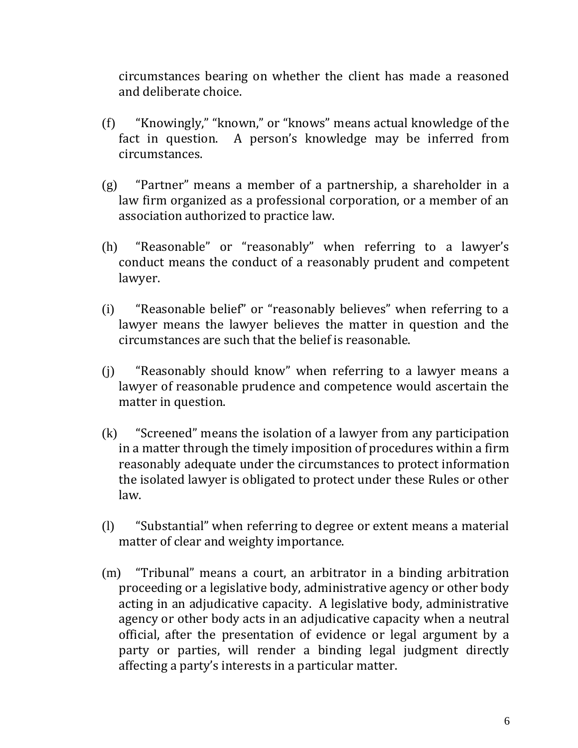circumstances bearing on whether the client has made a reasoned and deliberate choice.

- (f) "Knowingly," "known," or "knows" means actual knowledge of the fact in question. A person's knowledge may be inferred from circumstances.
- (g) "Partner" means a member of a partnership, a shareholder in a law firm organized as a professional corporation, or a member of an association authorized to practice law.
- (h) "Reasonable" or "reasonably" when referring to a lawyer's conduct means the conduct of a reasonably prudent and competent lawyer.
- (i) "Reasonable belief" or "reasonably believes" when referring to a lawyer means the lawyer believes the matter in question and the circumstances are such that the belief is reasonable.
- (j) "Reasonably should know" when referring to a lawyer means a lawyer of reasonable prudence and competence would ascertain the matter in question.
- (k) "Screened" means the isolation of a lawyer from any participation in a matter through the timely imposition of procedures within a firm reasonably adequate under the circumstances to protect information the isolated lawyer is obligated to protect under these Rules or other law.
- (l) "Substantial" when referring to degree or extent means a material matter of clear and weighty importance.
- (m) "Tribunal" means a court, an arbitrator in a binding arbitration proceeding or a legislative body, administrative agency or other body acting in an adjudicative capacity. A legislative body, administrative agency or other body acts in an adjudicative capacity when a neutral official, after the presentation of evidence or legal argument by a party or parties, will render a binding legal judgment directly affecting a party's interests in a particular matter.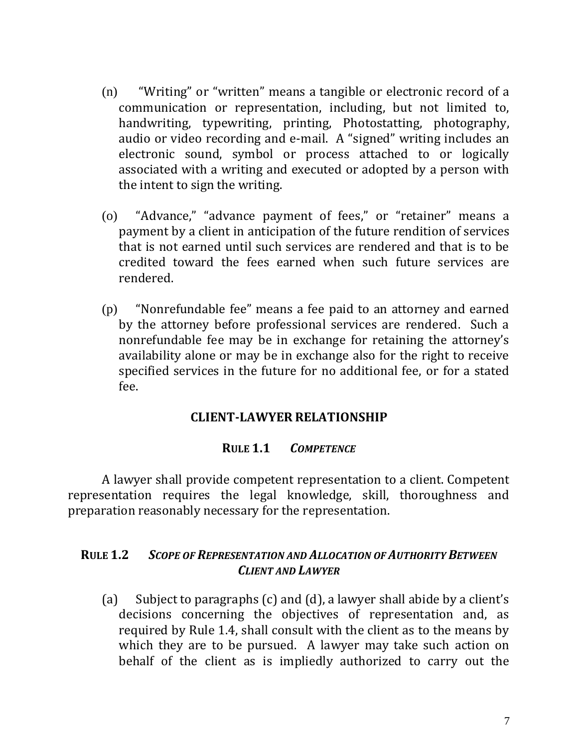- (n) "Writing" or "written" means a tangible or electronic record of a communication or representation, including, but not limited to, handwriting, typewriting, printing, Photostatting, photography, audio or video recording and e-mail. A "signed" writing includes an electronic sound, symbol or process attached to or logically associated with a writing and executed or adopted by a person with the intent to sign the writing.
- (o) "Advance," "advance payment of fees," or "retainer" means a payment by a client in anticipation of the future rendition of services that is not earned until such services are rendered and that is to be credited toward the fees earned when such future services are rendered.
- (p) "Nonrefundable fee" means a fee paid to an attorney and earned by the attorney before professional services are rendered. Such a nonrefundable fee may be in exchange for retaining the attorney's availability alone or may be in exchange also for the right to receive specified services in the future for no additional fee, or for a stated fee.

## **CLIENT-LAWYER RELATIONSHIP**

## **RULE 1.1** *COMPETENCE*

<span id="page-9-1"></span><span id="page-9-0"></span>A lawyer shall provide competent representation to a client. Competent representation requires the legal knowledge, skill, thoroughness and preparation reasonably necessary for the representation.

## <span id="page-9-2"></span>**RULE 1.2** *SCOPE OF REPRESENTATION AND ALLOCATION OF AUTHORITY BETWEEN CLIENT AND LAWYER*

(a) Subject to paragraphs (c) and (d), a lawyer shall abide by a client's decisions concerning the objectives of representation and, as required by Rule 1.4, shall consult with the client as to the means by which they are to be pursued. A lawyer may take such action on behalf of the client as is impliedly authorized to carry out the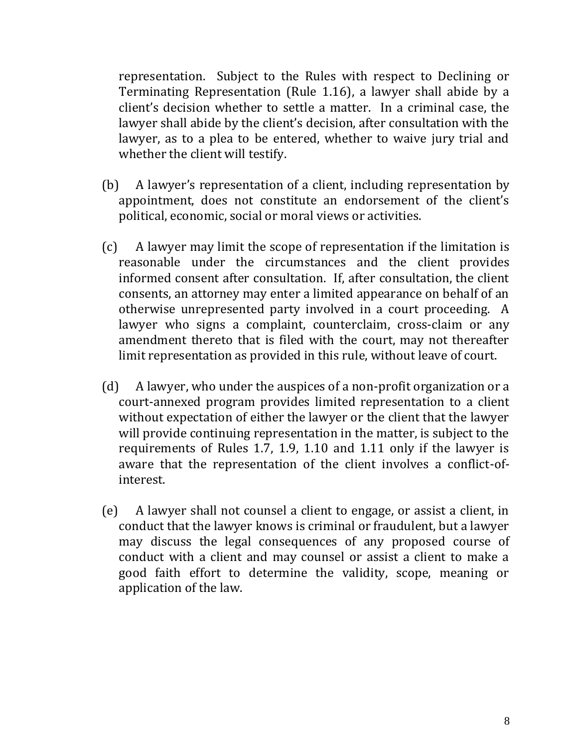representation. Subject to the Rules with respect to Declining or Terminating Representation (Rule 1.16), a lawyer shall abide by a client's decision whether to settle a matter. In a criminal case, the lawyer shall abide by the client's decision, after consultation with the lawyer, as to a plea to be entered, whether to waive jury trial and whether the client will testify.

- (b) A lawyer's representation of a client, including representation by appointment, does not constitute an endorsement of the client's political, economic, social or moral views or activities.
- (c) A lawyer may limit the scope of representation if the limitation is reasonable under the circumstances and the client provides informed consent after consultation. If, after consultation, the client consents, an attorney may enter a limited appearance on behalf of an otherwise unrepresented party involved in a court proceeding. A lawyer who signs a complaint, counterclaim, cross-claim or any amendment thereto that is filed with the court, may not thereafter limit representation as provided in this rule, without leave of court.
- (d) A lawyer, who under the auspices of a non-profit organization or a court-annexed program provides limited representation to a client without expectation of either the lawyer or the client that the lawyer will provide continuing representation in the matter, is subject to the requirements of Rules 1.7, 1.9, 1.10 and 1.11 only if the lawyer is aware that the representation of the client involves a conflict-ofinterest.
- <span id="page-10-0"></span>(e) A lawyer shall not counsel a client to engage, or assist a client, in conduct that the lawyer knows is criminal or fraudulent, but a lawyer may discuss the legal consequences of any proposed course of conduct with a client and may counsel or assist a client to make a good faith effort to determine the validity, scope, meaning or application of the law.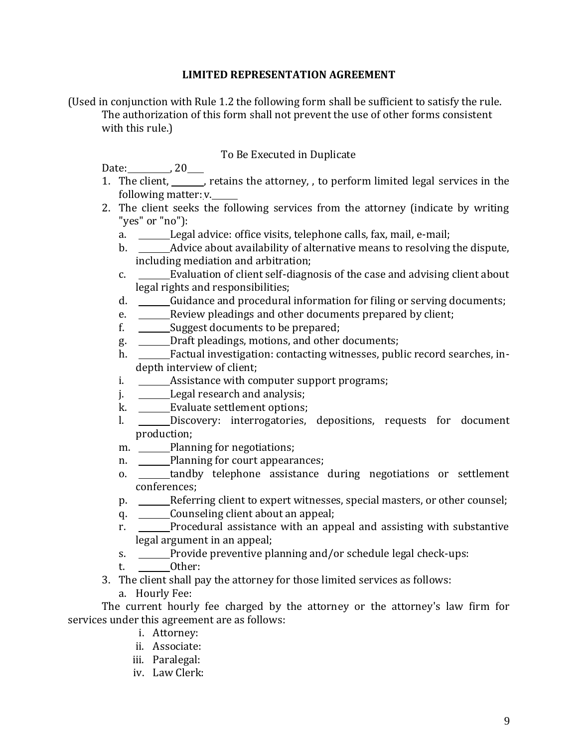#### **LIMITED REPRESENTATION AGREEMENT**

(Used in conjunction with Rule 1.2 the following form shall be sufficient to satisfy the rule. The authorization of this form shall not prevent the use of other forms consistent with this rule.)

#### To Be Executed in Duplicate

Date: , 20

- 1. The client, setains the attorney, , to perform limited legal services in the following matter: v.
- 2. The client seeks the following services from the attorney (indicate by writing "yes" or "no"):
	- a. Legal advice: office visits, telephone calls, fax, mail, e-mail;
	- b. Advice about availability of alternative means to resolving the dispute, including mediation and arbitration;
	- c. Evaluation of client self-diagnosis of the case and advising client about legal rights and responsibilities;
	- d. Guidance and procedural information for filing or serving documents;
	- e. \_\_\_\_\_\_Review pleadings and other documents prepared by client;
	- f. Suggest documents to be prepared;
	- g. Draft pleadings, motions, and other documents;
	- h. Factual investigation: contacting witnesses, public record searches, indepth interview of client;
	- i. Assistance with computer support programs;
	- j. \_\_\_\_\_\_\_\_\_Legal research and analysis;
	- k. \_\_\_\_\_\_Evaluate settlement options;
	- l. Discovery: interrogatories, depositions, requests for document production;
	- m. \_\_\_\_\_Planning for negotiations;
	- n. Planning for court appearances;
	- o. tandby telephone assistance during negotiations or settlement conferences;
	- p. Referring client to expert witnesses, special masters, or other counsel;
	- q. Counseling client about an appeal;
	- r. Procedural assistance with an appeal and assisting with substantive legal argument in an appeal;
	- s. \_\_\_\_Provide preventive planning and/or schedule legal check-ups:
	- t. Other:
- 3. The client shall pay the attorney for those limited services as follows:
	- a. Hourly Fee:

The current hourly fee charged by the attorney or the attorney's law firm for services under this agreement are as follows:

- i. Attorney:
- ii. Associate:
- iii. Paralegal:
- iv. Law Clerk: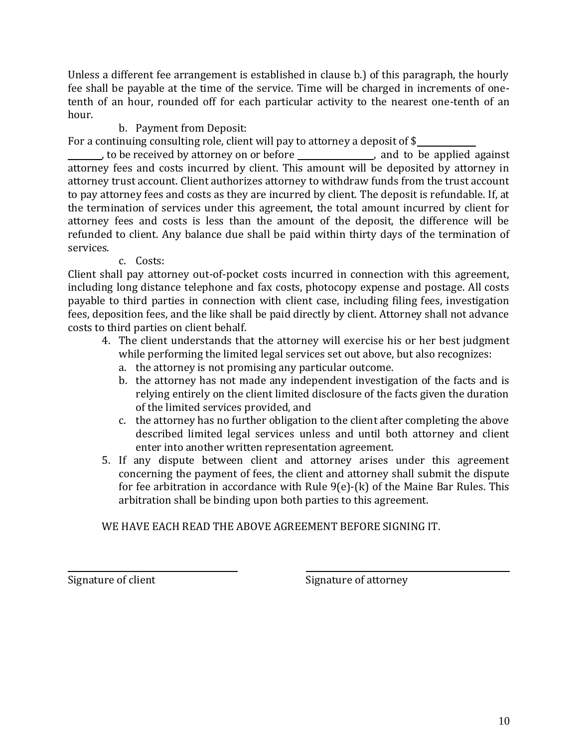Unless a different fee arrangement is established in clause b.) of this paragraph, the hourly fee shall be payable at the time of the service. Time will be charged in increments of onetenth of an hour, rounded off for each particular activity to the nearest one-tenth of an hour.

#### b. Payment from Deposit:

For a continuing consulting role, client will pay to attorney a deposit of \$

 $\Box$  to be received by attorney on or before \_\_\_\_\_\_\_\_\_\_\_\_\_\_\_, and to be applied against attorney fees and costs incurred by client. This amount will be deposited by attorney in attorney trust account. Client authorizes attorney to withdraw funds from the trust account to pay attorney fees and costs as they are incurred by client. The deposit is refundable. If, at the termination of services under this agreement, the total amount incurred by client for attorney fees and costs is less than the amount of the deposit, the difference will be refunded to client. Any balance due shall be paid within thirty days of the termination of services.

c. Costs:

Client shall pay attorney out-of-pocket costs incurred in connection with this agreement, including long distance telephone and fax costs, photocopy expense and postage. All costs payable to third parties in connection with client case, including filing fees, investigation fees, deposition fees, and the like shall be paid directly by client. Attorney shall not advance costs to third parties on client behalf.

- 4. The client understands that the attorney will exercise his or her best judgment while performing the limited legal services set out above, but also recognizes:
	- a. the attorney is not promising any particular outcome.
	- b. the attorney has not made any independent investigation of the facts and is relying entirely on the client limited disclosure of the facts given the duration of the limited services provided, and
	- c. the attorney has no further obligation to the client after completing the above described limited legal services unless and until both attorney and client enter into another written representation agreement.
- 5. If any dispute between client and attorney arises under this agreement concerning the payment of fees, the client and attorney shall submit the dispute for fee arbitration in accordance with Rule 9(e)-(k) of the Maine Bar Rules. This arbitration shall be binding upon both parties to this agreement.

WE HAVE EACH READ THE ABOVE AGREEMENT BEFORE SIGNING IT.

Signature of client Signature of attorney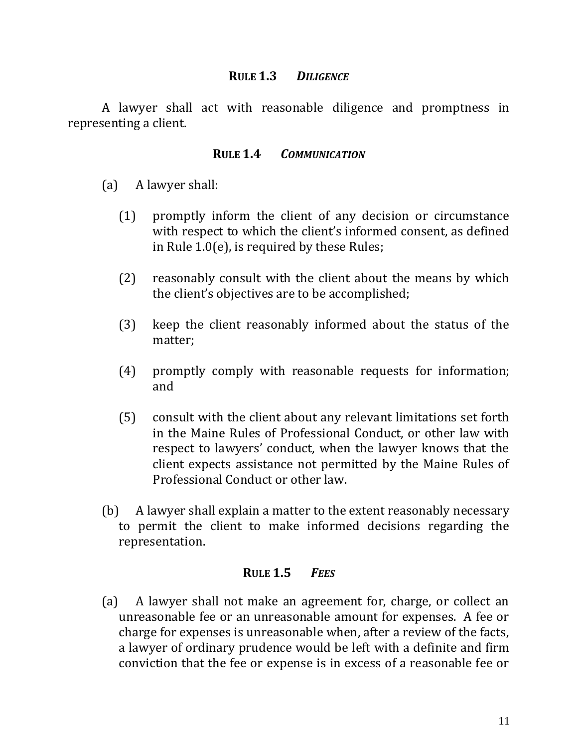#### **RULE 1.3** *DILIGENCE*

<span id="page-13-1"></span><span id="page-13-0"></span>A lawyer shall act with reasonable diligence and promptness in representing a client.

#### **RULE 1.4** *COMMUNICATION*

- (a) A lawyer shall:
	- (1) promptly inform the client of any decision or circumstance with respect to which the client's informed consent, as defined in Rule 1.0(e), is required by these Rules;
	- (2) reasonably consult with the client about the means by which the client's objectives are to be accomplished;
	- (3) keep the client reasonably informed about the status of the matter;
	- (4) promptly comply with reasonable requests for information; and
	- (5) consult with the client about any relevant limitations set forth in the Maine Rules of Professional Conduct, or other law with respect to lawyers' conduct, when the lawyer knows that the client expects assistance not permitted by the Maine Rules of Professional Conduct or other law.
- (b) A lawyer shall explain a matter to the extent reasonably necessary to permit the client to make informed decisions regarding the representation.

#### **RULE 1.5** *FEES*

<span id="page-13-2"></span>(a) A lawyer shall not make an agreement for, charge, or collect an unreasonable fee or an unreasonable amount for expenses. A fee or charge for expenses is unreasonable when, after a review of the facts, a lawyer of ordinary prudence would be left with a definite and firm conviction that the fee or expense is in excess of a reasonable fee or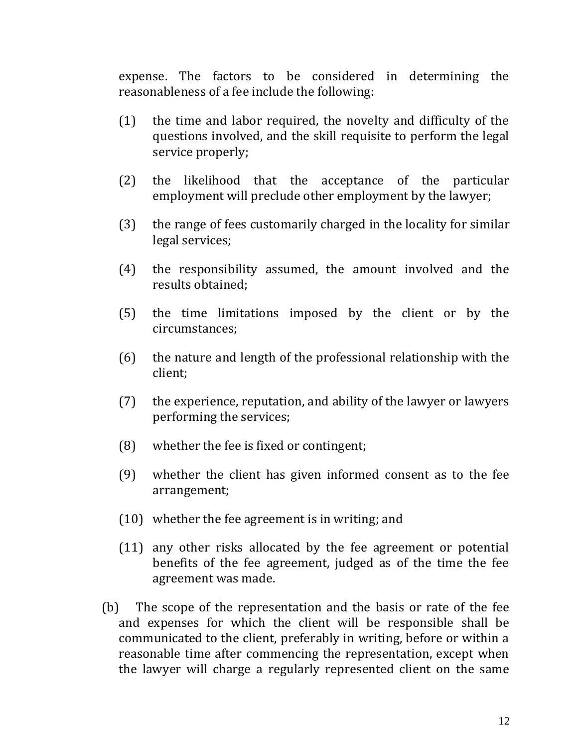expense. The factors to be considered in determining the reasonableness of a fee include the following:

- (1) the time and labor required, the novelty and difficulty of the questions involved, and the skill requisite to perform the legal service properly;
- (2) the likelihood that the acceptance of the particular employment will preclude other employment by the lawyer;
- (3) the range of fees customarily charged in the locality for similar legal services;
- (4) the responsibility assumed, the amount involved and the results obtained;
- (5) the time limitations imposed by the client or by the circumstances;
- (6) the nature and length of the professional relationship with the client;
- (7) the experience, reputation, and ability of the lawyer or lawyers performing the services;
- (8) whether the fee is fixed or contingent;
- (9) whether the client has given informed consent as to the fee arrangement;
- (10) whether the fee agreement is in writing; and
- (11) any other risks allocated by the fee agreement or potential benefits of the fee agreement, judged as of the time the fee agreement was made.
- (b) The scope of the representation and the basis or rate of the fee and expenses for which the client will be responsible shall be communicated to the client, preferably in writing, before or within a reasonable time after commencing the representation, except when the lawyer will charge a regularly represented client on the same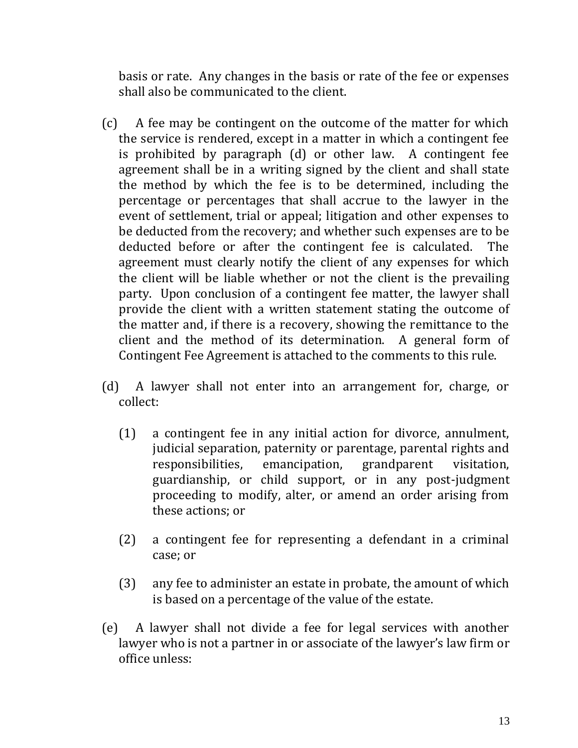basis or rate. Any changes in the basis or rate of the fee or expenses shall also be communicated to the client.

- (c) A fee may be contingent on the outcome of the matter for which the service is rendered, except in a matter in which a contingent fee is prohibited by paragraph (d) or other law. A contingent fee agreement shall be in a writing signed by the client and shall state the method by which the fee is to be determined, including the percentage or percentages that shall accrue to the lawyer in the event of settlement, trial or appeal; litigation and other expenses to be deducted from the recovery; and whether such expenses are to be deducted before or after the contingent fee is calculated. The agreement must clearly notify the client of any expenses for which the client will be liable whether or not the client is the prevailing party. Upon conclusion of a contingent fee matter, the lawyer shall provide the client with a written statement stating the outcome of the matter and, if there is a recovery, showing the remittance to the client and the method of its determination. A general form of Contingent Fee Agreement is attached to the comments to this rule.
- (d) A lawyer shall not enter into an arrangement for, charge, or collect:
	- (1) a contingent fee in any initial action for divorce, annulment, judicial separation, paternity or parentage, parental rights and responsibilities, emancipation, grandparent visitation, guardianship, or child support, or in any post-judgment proceeding to modify, alter, or amend an order arising from these actions; or
	- (2) a contingent fee for representing a defendant in a criminal case; or
	- (3) any fee to administer an estate in probate, the amount of which is based on a percentage of the value of the estate.
- (e) A lawyer shall not divide a fee for legal services with another lawyer who is not a partner in or associate of the lawyer's law firm or office unless: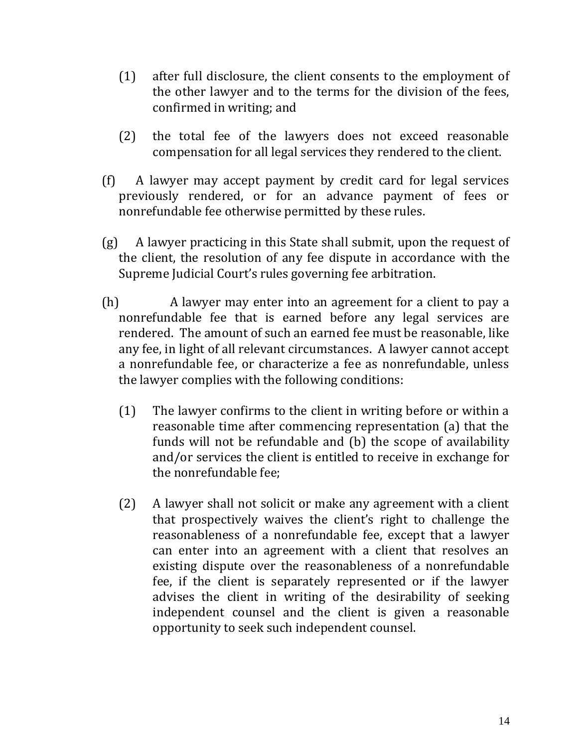- (1) after full disclosure, the client consents to the employment of the other lawyer and to the terms for the division of the fees, confirmed in writing; and
- (2) the total fee of the lawyers does not exceed reasonable compensation for all legal services they rendered to the client.
- (f) A lawyer may accept payment by credit card for legal services previously rendered, or for an advance payment of fees or nonrefundable fee otherwise permitted by these rules.
- (g) A lawyer practicing in this State shall submit, upon the request of the client, the resolution of any fee dispute in accordance with the Supreme Judicial Court's rules governing fee arbitration.
- <span id="page-16-0"></span>(h) A lawyer may enter into an agreement for a client to pay a nonrefundable fee that is earned before any legal services are rendered. The amount of such an earned fee must be reasonable, like any fee, in light of all relevant circumstances. A lawyer cannot accept a nonrefundable fee, or characterize a fee as nonrefundable, unless the lawyer complies with the following conditions:
	- (1) The lawyer confirms to the client in writing before or within a reasonable time after commencing representation (a) that the funds will not be refundable and (b) the scope of availability and/or services the client is entitled to receive in exchange for the nonrefundable fee;
	- (2) A lawyer shall not solicit or make any agreement with a client that prospectively waives the client's right to challenge the reasonableness of a nonrefundable fee, except that a lawyer can enter into an agreement with a client that resolves an existing dispute over the reasonableness of a nonrefundable fee, if the client is separately represented or if the lawyer advises the client in writing of the desirability of seeking independent counsel and the client is given a reasonable opportunity to seek such independent counsel.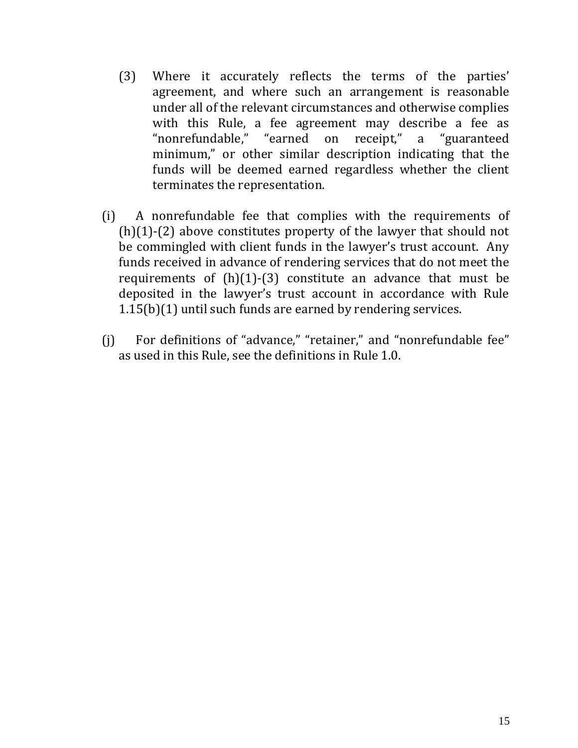- (3) Where it accurately reflects the terms of the parties' agreement, and where such an arrangement is reasonable under all of the relevant circumstances and otherwise complies with this Rule, a fee agreement may describe a fee as "nonrefundable," "earned on receipt," a "guaranteed minimum," or other similar description indicating that the funds will be deemed earned regardless whether the client terminates the representation.
- (i) A nonrefundable fee that complies with the requirements of  $(h)(1)-(2)$  above constitutes property of the lawyer that should not be commingled with client funds in the lawyer's trust account. Any funds received in advance of rendering services that do not meet the requirements of  $(h)(1)-(3)$  constitute an advance that must be deposited in the lawyer's trust account in accordance with Rule 1.15(b)(1) until such funds are earned by rendering services.
- (j) For definitions of "advance," "retainer," and "nonrefundable fee" as used in this Rule, see the definitions in Rule 1.0.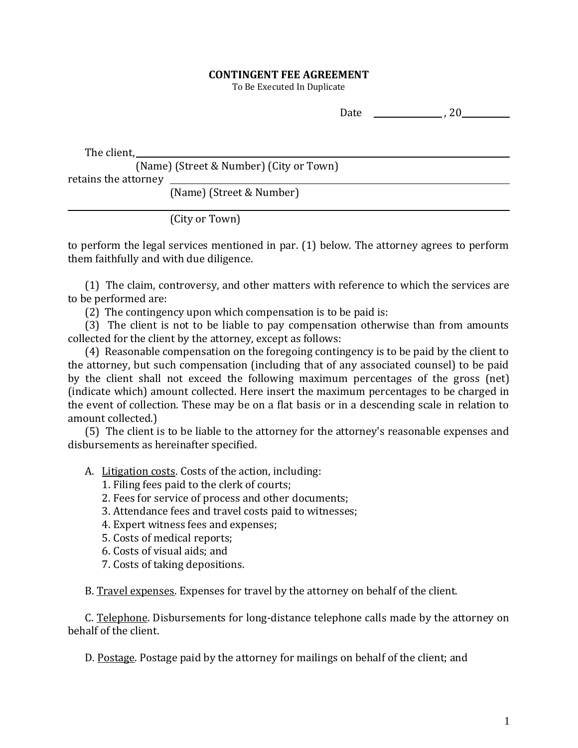#### **CONTINGENT FEE AGREEMENT**

To Be Executed In Duplicate

Date , 20

The client, https://www.com/community/community/community/community/community/community/community/community/community/ $\Gamma$ 

(Name) (Street & Number) (City or Town)

retains the attorney

(Name) (Street & Number)

(City or Town)

to perform the legal services mentioned in par. (1) below. The attorney agrees to perform them faithfully and with due diligence.

(1) The claim, controversy, and other matters with reference to which the services are to be performed are:

(2) The contingency upon which compensation is to be paid is:

(3) The client is not to be liable to pay compensation otherwise than from amounts collected for the client by the attorney, except as follows:

(4) Reasonable compensation on the foregoing contingency is to be paid by the client to the attorney, but such compensation (including that of any associated counsel) to be paid by the client shall not exceed the following maximum percentages of the gross (net) (indicate which) amount collected. Here insert the maximum percentages to be charged in the event of collection. These may be on a flat basis or in a descending scale in relation to amount collected.)

(5) The client is to be liable to the attorney for the attorney's reasonable expenses and disbursements as hereinafter specified.

A. Litigation costs. Costs of the action, including:

1. Filing fees paid to the clerk of courts;

2. Fees for service of process and other documents;

3. Attendance fees and travel costs paid to witnesses;

4. Expert witness fees and expenses;

- 5. Costs of medical reports;
- 6. Costs of visual aids; and
- 7. Costs of taking depositions.

B. Travel expenses. Expenses for travel by the attorney on behalf of the client.

C. Telephone. Disbursements for long-distance telephone calls made by the attorney on behalf of the client.

D. Postage. Postage paid by the attorney for mailings on behalf of the client; and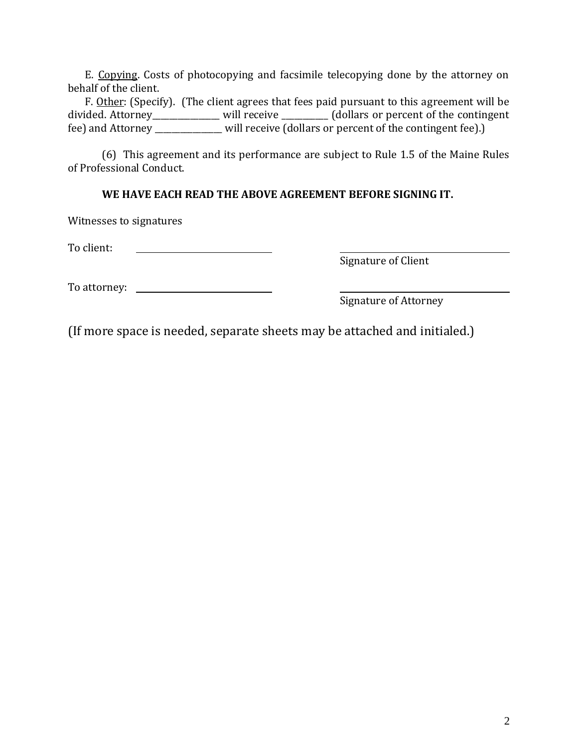E. Copying. Costs of photocopying and facsimile telecopying done by the attorney on behalf of the client.

F. Other: (Specify). (The client agrees that fees paid pursuant to this agreement will be divided. Attorney\_\_\_\_\_\_\_\_\_\_\_\_\_\_\_\_ will receive \_\_\_\_\_\_\_\_\_\_\_ (dollars or percent of the contingent fee) and Attorney \_\_\_\_\_\_\_\_\_\_\_\_\_\_\_\_ will receive (dollars or percent of the contingent fee).)

(6) This agreement and its performance are subject to Rule 1.5 of the Maine Rules of Professional Conduct.

#### **WE HAVE EACH READ THE ABOVE AGREEMENT BEFORE SIGNING IT.**

Witnesses to signatures

To client: 

Signature of Client

To attorney:

Signature of Attorney

(If more space is needed, separate sheets may be attached and initialed.)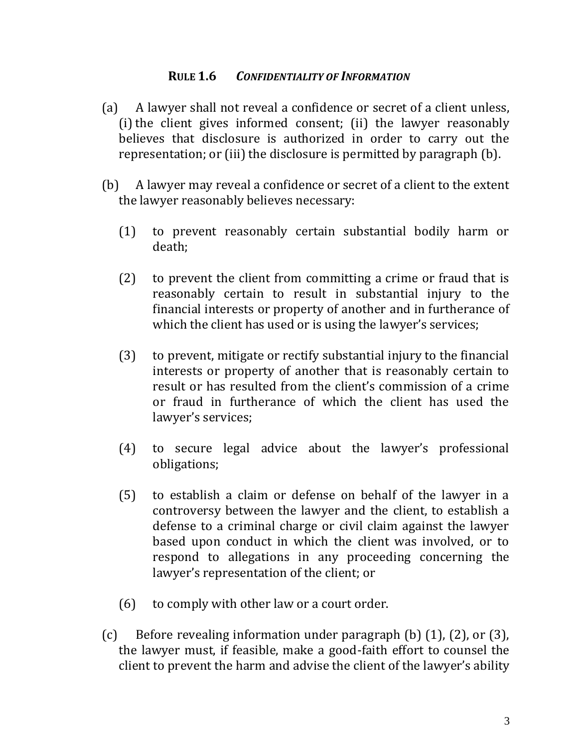## **RULE 1.6** *CONFIDENTIALITY OF INFORMATION*

- <span id="page-20-0"></span>(a) A lawyer shall not reveal a confidence or secret of a client unless, (i) the client gives informed consent; (ii) the lawyer reasonably believes that disclosure is authorized in order to carry out the representation; or (iii) the disclosure is permitted by paragraph (b).
- (b) A lawyer may reveal a confidence or secret of a client to the extent the lawyer reasonably believes necessary:
	- (1) to prevent reasonably certain substantial bodily harm or death;
	- (2) to prevent the client from committing a crime or fraud that is reasonably certain to result in substantial injury to the financial interests or property of another and in furtherance of which the client has used or is using the lawyer's services;
	- (3) to prevent, mitigate or rectify substantial injury to the financial interests or property of another that is reasonably certain to result or has resulted from the client's commission of a crime or fraud in furtherance of which the client has used the lawyer's services;
	- (4) to secure legal advice about the lawyer's professional obligations;
	- (5) to establish a claim or defense on behalf of the lawyer in a controversy between the lawyer and the client, to establish a defense to a criminal charge or civil claim against the lawyer based upon conduct in which the client was involved, or to respond to allegations in any proceeding concerning the lawyer's representation of the client; or
	- (6) to comply with other law or a court order.
- (c) Before revealing information under paragraph (b)  $(1)$ ,  $(2)$ , or  $(3)$ , the lawyer must, if feasible, make a good-faith effort to counsel the client to prevent the harm and advise the client of the lawyer's ability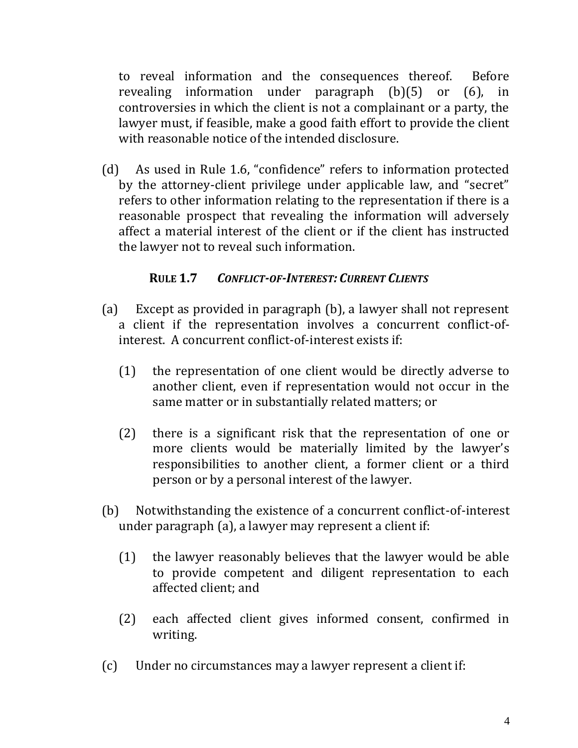to reveal information and the consequences thereof. Before revealing information under paragraph (b)(5) or (6), in controversies in which the client is not a complainant or a party, the lawyer must, if feasible, make a good faith effort to provide the client with reasonable notice of the intended disclosure.

(d) As used in Rule 1.6, "confidence" refers to information protected by the attorney-client privilege under applicable law, and "secret" refers to other information relating to the representation if there is a reasonable prospect that revealing the information will adversely affect a material interest of the client or if the client has instructed the lawyer not to reveal such information.

# **RULE 1.7** *CONFLICT-OF-INTEREST: CURRENT CLIENTS*

- <span id="page-21-0"></span>(a) Except as provided in paragraph (b), a lawyer shall not represent a client if the representation involves a concurrent conflict-ofinterest. A concurrent conflict-of-interest exists if:
	- (1) the representation of one client would be directly adverse to another client, even if representation would not occur in the same matter or in substantially related matters; or
	- (2) there is a significant risk that the representation of one or more clients would be materially limited by the lawyer's responsibilities to another client, a former client or a third person or by a personal interest of the lawyer.
- (b) Notwithstanding the existence of a concurrent conflict-of-interest under paragraph (a), a lawyer may represent a client if:
	- (1) the lawyer reasonably believes that the lawyer would be able to provide competent and diligent representation to each affected client; and
	- (2) each affected client gives informed consent, confirmed in writing.
- (c) Under no circumstances may a lawyer represent a client if: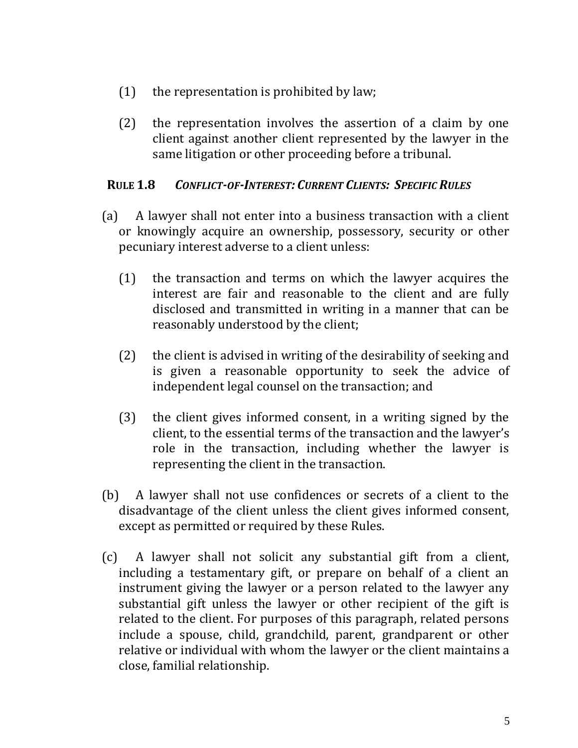- (1) the representation is prohibited by law;
- (2) the representation involves the assertion of a claim by one client against another client represented by the lawyer in the same litigation or other proceeding before a tribunal.

## <span id="page-22-0"></span>**RULE 1.8** *CONFLICT-OF-INTEREST: CURRENT CLIENTS: SPECIFIC RULES*

- (a) A lawyer shall not enter into a business transaction with a client or knowingly acquire an ownership, possessory, security or other pecuniary interest adverse to a client unless:
	- (1) the transaction and terms on which the lawyer acquires the interest are fair and reasonable to the client and are fully disclosed and transmitted in writing in a manner that can be reasonably understood by the client;
	- (2) the client is advised in writing of the desirability of seeking and is given a reasonable opportunity to seek the advice of independent legal counsel on the transaction; and
	- (3) the client gives informed consent, in a writing signed by the client, to the essential terms of the transaction and the lawyer's role in the transaction, including whether the lawyer is representing the client in the transaction.
- (b) A lawyer shall not use confidences or secrets of a client to the disadvantage of the client unless the client gives informed consent, except as permitted or required by these Rules.
- (c) A lawyer shall not solicit any substantial gift from a client, including a testamentary gift, or prepare on behalf of a client an instrument giving the lawyer or a person related to the lawyer any substantial gift unless the lawyer or other recipient of the gift is related to the client. For purposes of this paragraph, related persons include a spouse, child, grandchild, parent, grandparent or other relative or individual with whom the lawyer or the client maintains a close, familial relationship.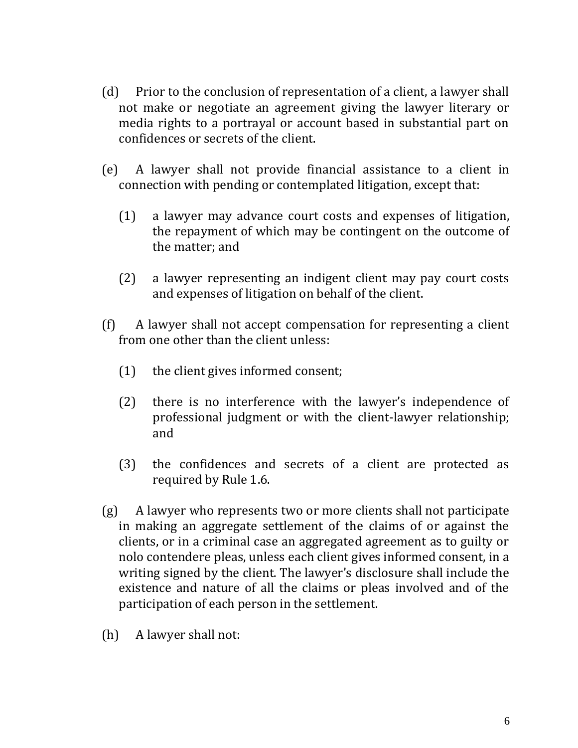- (d) Prior to the conclusion of representation of a client, a lawyer shall not make or negotiate an agreement giving the lawyer literary or media rights to a portrayal or account based in substantial part on confidences or secrets of the client.
- (e) A lawyer shall not provide financial assistance to a client in connection with pending or contemplated litigation, except that:
	- (1) a lawyer may advance court costs and expenses of litigation, the repayment of which may be contingent on the outcome of the matter; and
	- (2) a lawyer representing an indigent client may pay court costs and expenses of litigation on behalf of the client.
- (f) A lawyer shall not accept compensation for representing a client from one other than the client unless:
	- (1) the client gives informed consent;
	- (2) there is no interference with the lawyer's independence of professional judgment or with the client-lawyer relationship; and
	- (3) the confidences and secrets of a client are protected as required by Rule 1.6.
- (g) A lawyer who represents two or more clients shall not participate in making an aggregate settlement of the claims of or against the clients, or in a criminal case an aggregated agreement as to guilty or nolo contendere pleas, unless each client gives informed consent, in a writing signed by the client. The lawyer's disclosure shall include the existence and nature of all the claims or pleas involved and of the participation of each person in the settlement.
- (h) A lawyer shall not: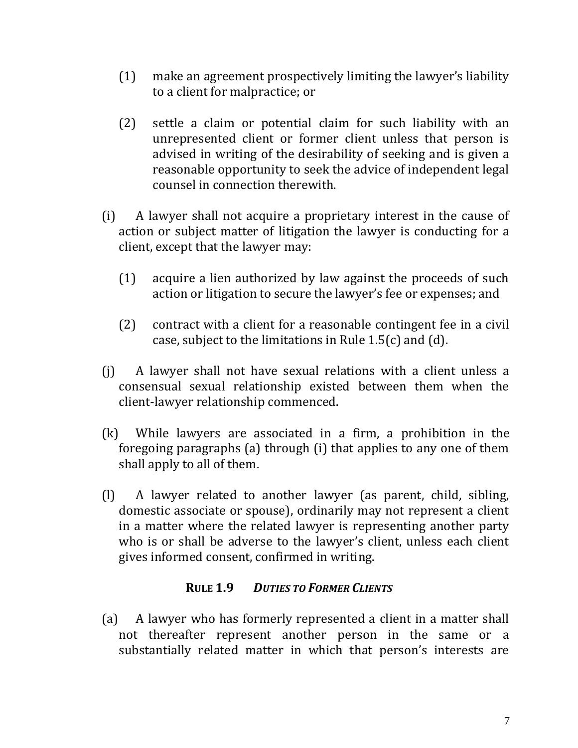- (1) make an agreement prospectively limiting the lawyer's liability to a client for malpractice; or
- (2) settle a claim or potential claim for such liability with an unrepresented client or former client unless that person is advised in writing of the desirability of seeking and is given a reasonable opportunity to seek the advice of independent legal counsel in connection therewith.
- (i) A lawyer shall not acquire a proprietary interest in the cause of action or subject matter of litigation the lawyer is conducting for a client, except that the lawyer may:
	- (1) acquire a lien authorized by law against the proceeds of such action or litigation to secure the lawyer's fee or expenses; and
	- (2) contract with a client for a reasonable contingent fee in a civil case, subject to the limitations in Rule 1.5(c) and (d).
- (j) A lawyer shall not have sexual relations with a client unless a consensual sexual relationship existed between them when the client-lawyer relationship commenced.
- (k) While lawyers are associated in a firm, a prohibition in the foregoing paragraphs (a) through (i) that applies to any one of them shall apply to all of them.
- (l) A lawyer related to another lawyer (as parent, child, sibling, domestic associate or spouse), ordinarily may not represent a client in a matter where the related lawyer is representing another party who is or shall be adverse to the lawyer's client, unless each client gives informed consent, confirmed in writing.

# **RULE 1.9** *DUTIES TO FORMER CLIENTS*

<span id="page-24-0"></span>(a) A lawyer who has formerly represented a client in a matter shall not thereafter represent another person in the same or a substantially related matter in which that person's interests are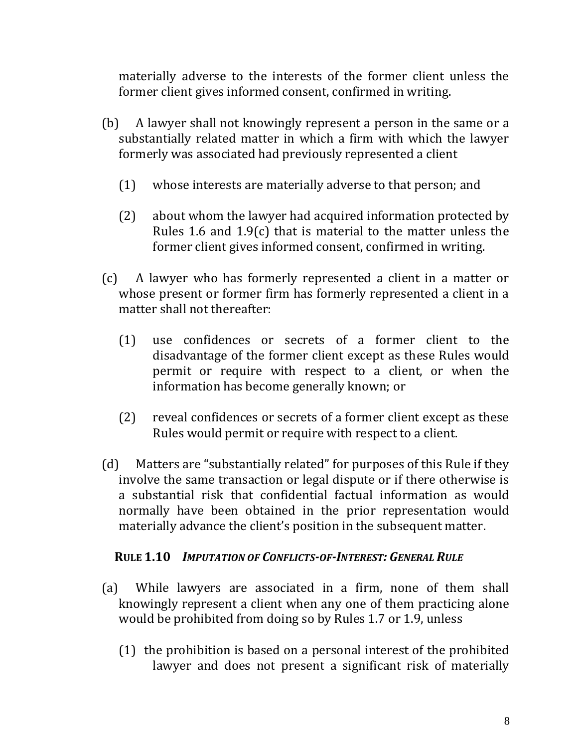materially adverse to the interests of the former client unless the former client gives informed consent, confirmed in writing.

- (b) A lawyer shall not knowingly represent a person in the same or a substantially related matter in which a firm with which the lawyer formerly was associated had previously represented a client
	- (1) whose interests are materially adverse to that person; and
	- (2) about whom the lawyer had acquired information protected by Rules 1.6 and 1.9(c) that is material to the matter unless the former client gives informed consent, confirmed in writing.
- (c) A lawyer who has formerly represented a client in a matter or whose present or former firm has formerly represented a client in a matter shall not thereafter:
	- (1) use confidences or secrets of a former client to the disadvantage of the former client except as these Rules would permit or require with respect to a client, or when the information has become generally known; or
	- (2) reveal confidences or secrets of a former client except as these Rules would permit or require with respect to a client.
- (d) Matters are "substantially related" for purposes of this Rule if they involve the same transaction or legal dispute or if there otherwise is a substantial risk that confidential factual information as would normally have been obtained in the prior representation would materially advance the client's position in the subsequent matter.

# **RULE 1.10** *IMPUTATION OF CONFLICTS-OF-INTEREST: GENERAL RULE*

- <span id="page-25-0"></span>(a) While lawyers are associated in a firm, none of them shall knowingly represent a client when any one of them practicing alone would be prohibited from doing so by Rules 1.7 or 1.9, unless
	- (1) the prohibition is based on a personal interest of the prohibited lawyer and does not present a significant risk of materially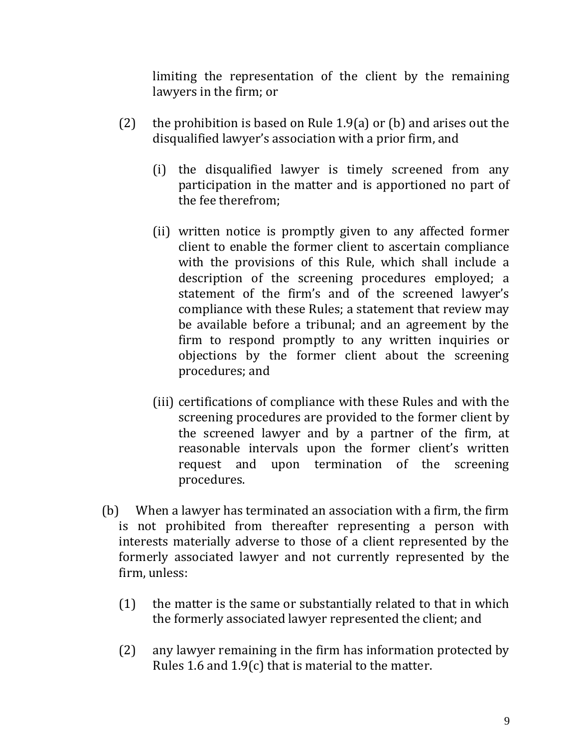limiting the representation of the client by the remaining lawyers in the firm; or

- (2) the prohibition is based on Rule 1.9(a) or (b) and arises out the disqualified lawyer's association with a prior firm, and
	- (i) the disqualified lawyer is timely screened from any participation in the matter and is apportioned no part of the fee therefrom;
	- (ii) written notice is promptly given to any affected former client to enable the former client to ascertain compliance with the provisions of this Rule, which shall include a description of the screening procedures employed; a statement of the firm's and of the screened lawyer's compliance with these Rules; a statement that review may be available before a tribunal; and an agreement by the firm to respond promptly to any written inquiries or objections by the former client about the screening procedures; and
	- (iii) certifications of compliance with these Rules and with the screening procedures are provided to the former client by the screened lawyer and by a partner of the firm, at reasonable intervals upon the former client's written request and upon termination of the screening procedures.
- (b) When a lawyer has terminated an association with a firm, the firm is not prohibited from thereafter representing a person with interests materially adverse to those of a client represented by the formerly associated lawyer and not currently represented by the firm, unless:
	- (1) the matter is the same or substantially related to that in which the formerly associated lawyer represented the client; and
	- (2) any lawyer remaining in the firm has information protected by Rules 1.6 and 1.9(c) that is material to the matter.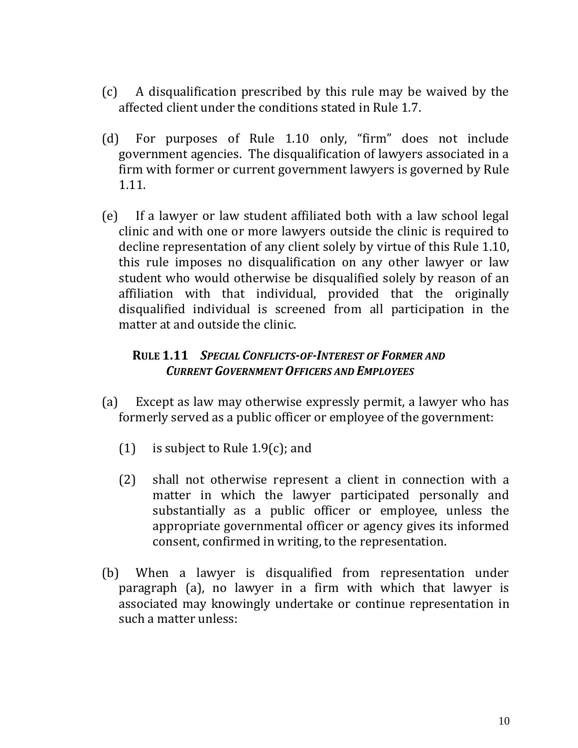- (c) A disqualification prescribed by this rule may be waived by the affected client under the conditions stated in Rule 1.7.
- (d) For purposes of Rule 1.10 only, "firm" does not include government agencies. The disqualification of lawyers associated in a firm with former or current government lawyers is governed by Rule 1.11.
- (e) If a lawyer or law student affiliated both with a law school legal clinic and with one or more lawyers outside the clinic is required to decline representation of any client solely by virtue of this Rule 1.10, this rule imposes no disqualification on any other lawyer or law student who would otherwise be disqualified solely by reason of an affiliation with that individual, provided that the originally disqualified individual is screened from all participation in the matter at and outside the clinic.

# <span id="page-27-1"></span>**RULE 1.11** *SPECIAL CONFLICTS-OF-INTEREST OF FORMER AND CURRENT GOVERNMENT OFFICERS AND EMPLOYEES*

- <span id="page-27-0"></span>(a) Except as law may otherwise expressly permit, a lawyer who has formerly served as a public officer or employee of the government:
	- $(1)$  is subject to Rule 1.9 $(c)$ ; and
	- (2) shall not otherwise represent a client in connection with a matter in which the lawyer participated personally and substantially as a public officer or employee, unless the appropriate governmental officer or agency gives its informed consent, confirmed in writing, to the representation.
- (b) When a lawyer is disqualified from representation under paragraph (a), no lawyer in a firm with which that lawyer is associated may knowingly undertake or continue representation in such a matter unless: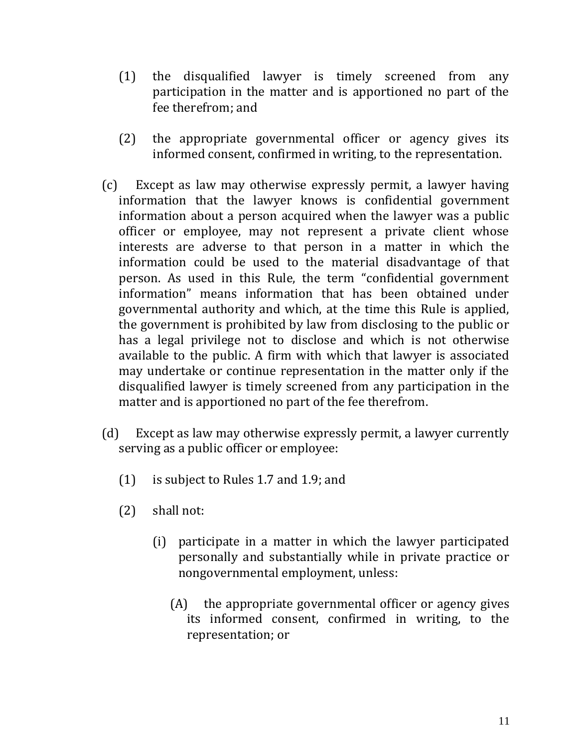- (1) the disqualified lawyer is timely screened from any participation in the matter and is apportioned no part of the fee therefrom; and
- (2) the appropriate governmental officer or agency gives its informed consent, confirmed in writing, to the representation.
- (c) Except as law may otherwise expressly permit, a lawyer having information that the lawyer knows is confidential government information about a person acquired when the lawyer was a public officer or employee, may not represent a private client whose interests are adverse to that person in a matter in which the information could be used to the material disadvantage of that person. As used in this Rule, the term "confidential government information" means information that has been obtained under governmental authority and which, at the time this Rule is applied, the government is prohibited by law from disclosing to the public or has a legal privilege not to disclose and which is not otherwise available to the public. A firm with which that lawyer is associated may undertake or continue representation in the matter only if the disqualified lawyer is timely screened from any participation in the matter and is apportioned no part of the fee therefrom.
- (d) Except as law may otherwise expressly permit, a lawyer currently serving as a public officer or employee:
	- (1) is subject to Rules 1.7 and 1.9; and
	- (2) shall not:
		- (i) participate in a matter in which the lawyer participated personally and substantially while in private practice or nongovernmental employment, unless:
			- (A) the appropriate governmental officer or agency gives its informed consent, confirmed in writing, to the representation; or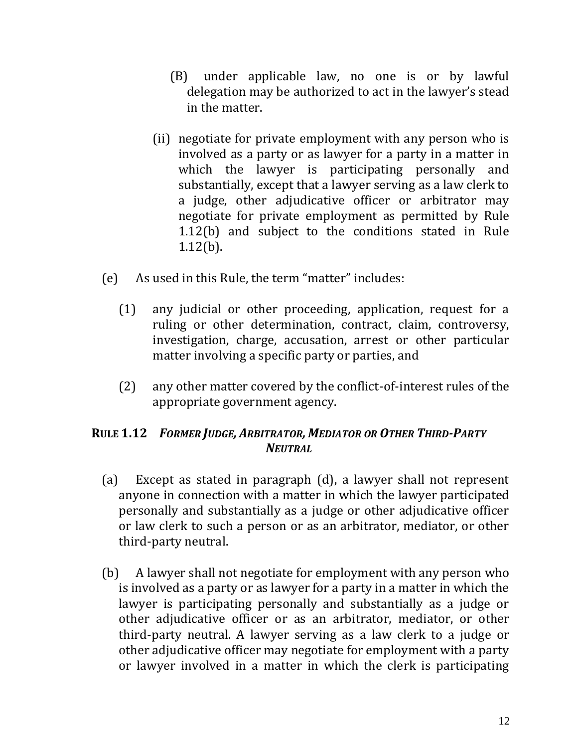- (B) under applicable law, no one is or by lawful delegation may be authorized to act in the lawyer's stead in the matter.
- (ii) negotiate for private employment with any person who is involved as a party or as lawyer for a party in a matter in which the lawyer is participating personally and substantially, except that a lawyer serving as a law clerk to a judge, other adjudicative officer or arbitrator may negotiate for private employment as permitted by Rule 1.12(b) and subject to the conditions stated in Rule 1.12(b).
- (e) As used in this Rule, the term "matter" includes:
	- (1) any judicial or other proceeding, application, request for a ruling or other determination, contract, claim, controversy, investigation, charge, accusation, arrest or other particular matter involving a specific party or parties, and
	- (2) any other matter covered by the conflict-of-interest rules of the appropriate government agency.

## <span id="page-29-0"></span>**RULE 1.12** *FORMER JUDGE, ARBITRATOR, MEDIATOR OR OTHER THIRD-PARTY NEUTRAL*

- (a) Except as stated in paragraph (d), a lawyer shall not represent anyone in connection with a matter in which the lawyer participated personally and substantially as a judge or other adjudicative officer or law clerk to such a person or as an arbitrator, mediator, or other third-party neutral.
- (b) A lawyer shall not negotiate for employment with any person who is involved as a party or as lawyer for a party in a matter in which the lawyer is participating personally and substantially as a judge or other adjudicative officer or as an arbitrator, mediator, or other third-party neutral. A lawyer serving as a law clerk to a judge or other adjudicative officer may negotiate for employment with a party or lawyer involved in a matter in which the clerk is participating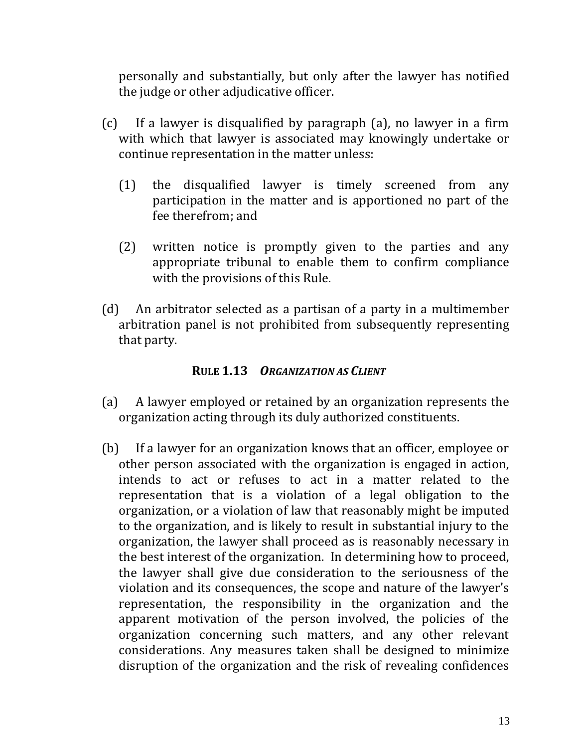personally and substantially, but only after the lawyer has notified the judge or other adjudicative officer.

- (c) If a lawyer is disqualified by paragraph (a), no lawyer in a firm with which that lawyer is associated may knowingly undertake or continue representation in the matter unless:
	- (1) the disqualified lawyer is timely screened from any participation in the matter and is apportioned no part of the fee therefrom; and
	- (2) written notice is promptly given to the parties and any appropriate tribunal to enable them to confirm compliance with the provisions of this Rule.
- (d) An arbitrator selected as a partisan of a party in a multimember arbitration panel is not prohibited from subsequently representing that party.

## **RULE 1.13** *ORGANIZATION AS CLIENT*

- <span id="page-30-0"></span>(a) A lawyer employed or retained by an organization represents the organization acting through its duly authorized constituents.
- (b) If a lawyer for an organization knows that an officer, employee or other person associated with the organization is engaged in action, intends to act or refuses to act in a matter related to the representation that is a violation of a legal obligation to the organization, or a violation of law that reasonably might be imputed to the organization, and is likely to result in substantial injury to the organization, the lawyer shall proceed as is reasonably necessary in the best interest of the organization. In determining how to proceed, the lawyer shall give due consideration to the seriousness of the violation and its consequences, the scope and nature of the lawyer's representation, the responsibility in the organization and the apparent motivation of the person involved, the policies of the organization concerning such matters, and any other relevant considerations. Any measures taken shall be designed to minimize disruption of the organization and the risk of revealing confidences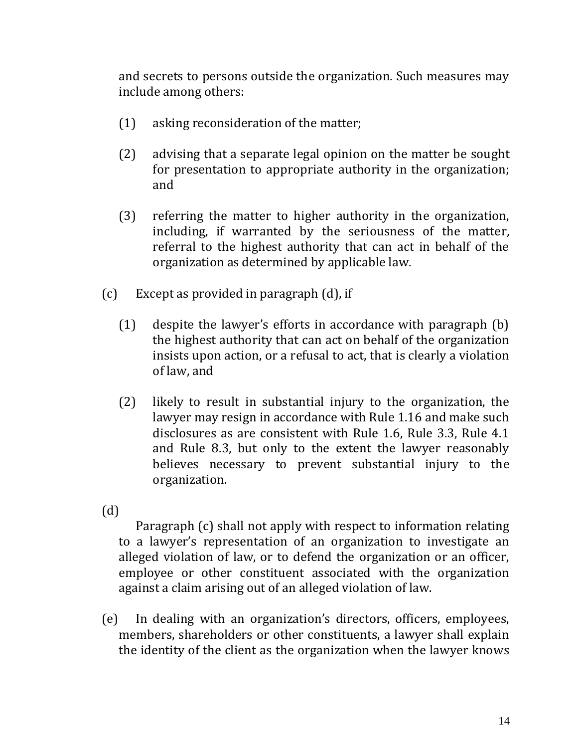and secrets to persons outside the organization. Such measures may include among others:

- (1) asking reconsideration of the matter;
- (2) advising that a separate legal opinion on the matter be sought for presentation to appropriate authority in the organization; and
- (3) referring the matter to higher authority in the organization, including, if warranted by the seriousness of the matter, referral to the highest authority that can act in behalf of the organization as determined by applicable law.
- (c) Except as provided in paragraph (d), if
	- (1) despite the lawyer's efforts in accordance with paragraph (b) the highest authority that can act on behalf of the organization insists upon action, or a refusal to act, that is clearly a violation of law, and
	- (2) likely to result in substantial injury to the organization, the lawyer may resign in accordance with Rule 1.16 and make such disclosures as are consistent with Rule 1.6, Rule 3.3, Rule 4.1 and Rule 8.3, but only to the extent the lawyer reasonably believes necessary to prevent substantial injury to the organization.
- (d)

Paragraph (c) shall not apply with respect to information relating to a lawyer's representation of an organization to investigate an alleged violation of law, or to defend the organization or an officer, employee or other constituent associated with the organization against a claim arising out of an alleged violation of law.

(e) In dealing with an organization's directors, officers, employees, members, shareholders or other constituents, a lawyer shall explain the identity of the client as the organization when the lawyer knows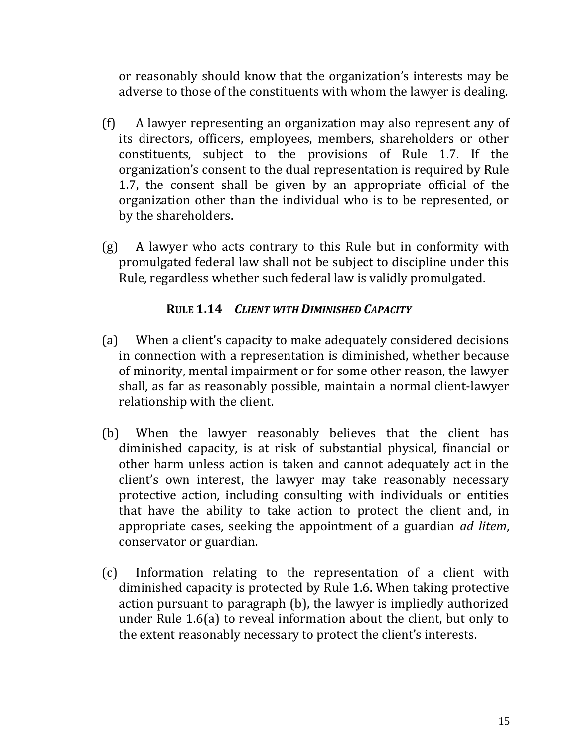or reasonably should know that the organization's interests may be adverse to those of the constituents with whom the lawyer is dealing.

- (f) A lawyer representing an organization may also represent any of its directors, officers, employees, members, shareholders or other constituents, subject to the provisions of Rule 1.7. If the organization's consent to the dual representation is required by Rule 1.7, the consent shall be given by an appropriate official of the organization other than the individual who is to be represented, or by the shareholders.
- (g) A lawyer who acts contrary to this Rule but in conformity with promulgated federal law shall not be subject to discipline under this Rule, regardless whether such federal law is validly promulgated.

## **RULE 1.14** *CLIENT WITH DIMINISHED CAPACITY*

- <span id="page-32-0"></span>(a) When a client's capacity to make adequately considered decisions in connection with a representation is diminished, whether because of minority, mental impairment or for some other reason, the lawyer shall, as far as reasonably possible, maintain a normal client-lawyer relationship with the client.
- (b) When the lawyer reasonably believes that the client has diminished capacity, is at risk of substantial physical, financial or other harm unless action is taken and cannot adequately act in the client's own interest, the lawyer may take reasonably necessary protective action, including consulting with individuals or entities that have the ability to take action to protect the client and, in appropriate cases, seeking the appointment of a guardian *ad litem*, conservator or guardian.
- (c) Information relating to the representation of a client with diminished capacity is protected by Rule 1.6. When taking protective action pursuant to paragraph (b), the lawyer is impliedly authorized under Rule 1.6(a) to reveal information about the client, but only to the extent reasonably necessary to protect the client's interests.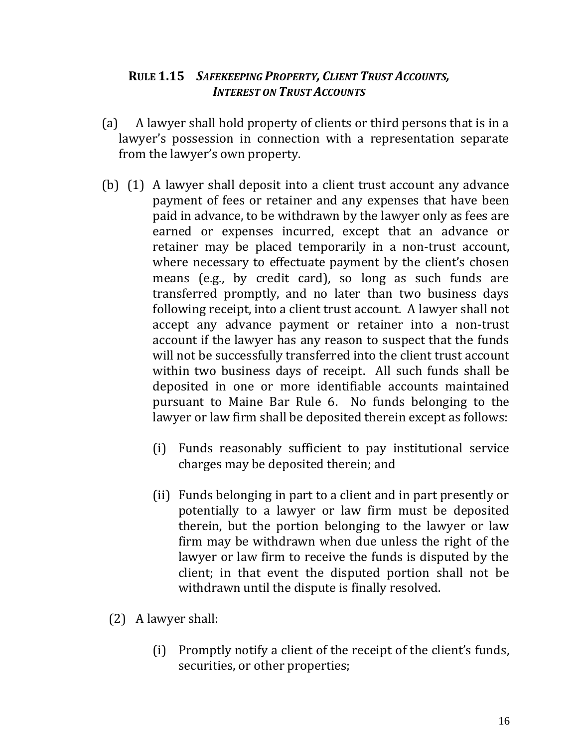## **RULE 1.15** *SAFEKEEPING PROPERTY, CLIENT TRUST ACCOUNTS, INTEREST ON TRUST ACCOUNTS*

- <span id="page-33-1"></span><span id="page-33-0"></span>(a) A lawyer shall hold property of clients or third persons that is in a lawyer's possession in connection with a representation separate from the lawyer's own property.
- (b) (1) A lawyer shall deposit into a client trust account any advance payment of fees or retainer and any expenses that have been paid in advance, to be withdrawn by the lawyer only as fees are earned or expenses incurred, except that an advance or retainer may be placed temporarily in a non-trust account, where necessary to effectuate payment by the client's chosen means (e.g., by credit card), so long as such funds are transferred promptly, and no later than two business days following receipt, into a client trust account. A lawyer shall not accept any advance payment or retainer into a non-trust account if the lawyer has any reason to suspect that the funds will not be successfully transferred into the client trust account within two business days of receipt. All such funds shall be deposited in one or more identifiable accounts maintained pursuant to Maine Bar Rule 6. No funds belonging to the lawyer or law firm shall be deposited therein except as follows:
	- (i) Funds reasonably sufficient to pay institutional service charges may be deposited therein; and
	- (ii) Funds belonging in part to a client and in part presently or potentially to a lawyer or law firm must be deposited therein, but the portion belonging to the lawyer or law firm may be withdrawn when due unless the right of the lawyer or law firm to receive the funds is disputed by the client; in that event the disputed portion shall not be withdrawn until the dispute is finally resolved.
	- (2) A lawyer shall:
		- (i) Promptly notify a client of the receipt of the client's funds, securities, or other properties;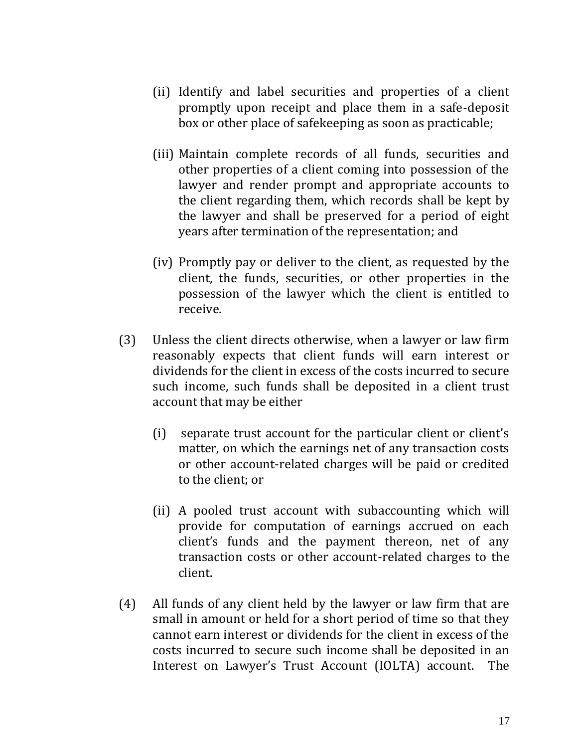- (ii) Identify and label securities and properties of a client promptly upon receipt and place them in a safe-deposit box or other place of safekeeping as soon as practicable;
- (iii) Maintain complete records of all funds, securities and other properties of a client coming into possession of the lawyer and render prompt and appropriate accounts to the client regarding them, which records shall be kept by the lawyer and shall be preserved for a period of eight years after termination of the representation; and
- (iv) Promptly pay or deliver to the client, as requested by the client, the funds, securities, or other properties in the possession of the lawyer which the client is entitled to receive.
- (3) Unless the client directs otherwise, when a lawyer or law firm reasonably expects that client funds will earn interest or dividends for the client in excess of the costs incurred to secure such income, such funds shall be deposited in a client trust account that may be either
	- (i) separate trust account for the particular client or client's matter, on which the earnings net of any transaction costs or other account-related charges will be paid or credited to the client; or
	- (ii) A pooled trust account with subaccounting which will provide for computation of earnings accrued on each client's funds and the payment thereon, net of any transaction costs or other account-related charges to the client.
- (4) All funds of any client held by the lawyer or law firm that are small in amount or held for a short period of time so that they cannot earn interest or dividends for the client in excess of the costs incurred to secure such income shall be deposited in an Interest on Lawyer's Trust Account (IOLTA) account. The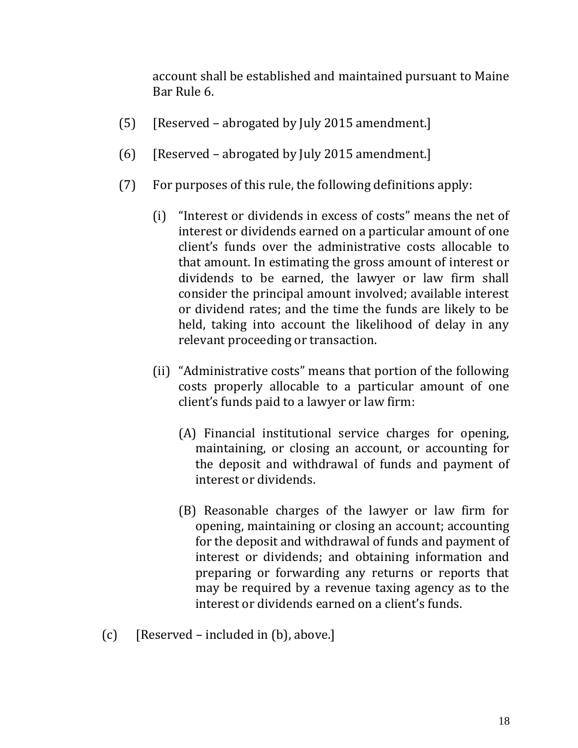account shall be established and maintained pursuant to Maine Bar Rule 6.

- (5) [Reserved abrogated by July 2015 amendment.]
- (6) [Reserved abrogated by July 2015 amendment.]
- (7) For purposes of this rule, the following definitions apply:
	- (i) "Interest or dividends in excess of costs" means the net of interest or dividends earned on a particular amount of one client's funds over the administrative costs allocable to that amount. In estimating the gross amount of interest or dividends to be earned, the lawyer or law firm shall consider the principal amount involved; available interest or dividend rates; and the time the funds are likely to be held, taking into account the likelihood of delay in any relevant proceeding or transaction.
	- (ii) "Administrative costs" means that portion of the following costs properly allocable to a particular amount of one client's funds paid to a lawyer or law firm:
		- (A) Financial institutional service charges for opening, maintaining, or closing an account, or accounting for the deposit and withdrawal of funds and payment of interest or dividends.
		- (B) Reasonable charges of the lawyer or law firm for opening, maintaining or closing an account; accounting for the deposit and withdrawal of funds and payment of interest or dividends; and obtaining information and preparing or forwarding any returns or reports that may be required by a revenue taxing agency as to the interest or dividends earned on a client's funds.
- $(c)$  [Reserved included in  $(b)$ , above.]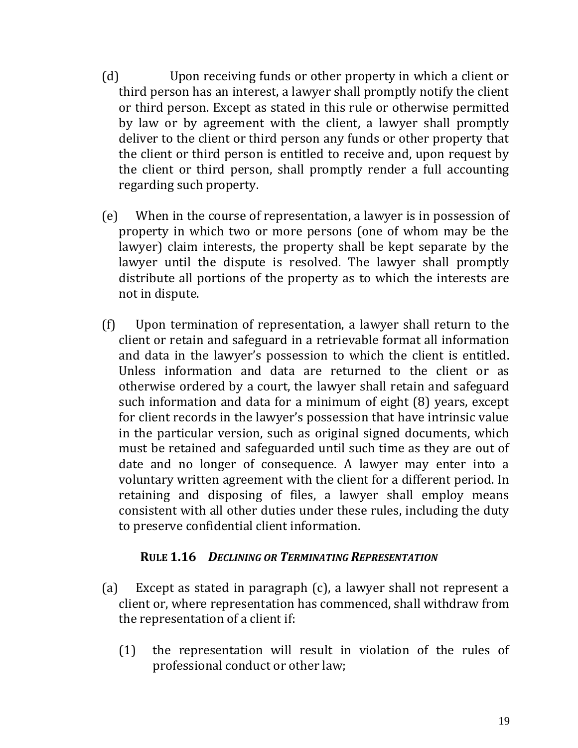- (d) Upon receiving funds or other property in which a client or third person has an interest, a lawyer shall promptly notify the client or third person. Except as stated in this rule or otherwise permitted by law or by agreement with the client, a lawyer shall promptly deliver to the client or third person any funds or other property that the client or third person is entitled to receive and, upon request by the client or third person, shall promptly render a full accounting regarding such property.
- (e) When in the course of representation, a lawyer is in possession of property in which two or more persons (one of whom may be the lawyer) claim interests, the property shall be kept separate by the lawyer until the dispute is resolved. The lawyer shall promptly distribute all portions of the property as to which the interests are not in dispute.
- (f) Upon termination of representation, a lawyer shall return to the client or retain and safeguard in a retrievable format all information and data in the lawyer's possession to which the client is entitled. Unless information and data are returned to the client or as otherwise ordered by a court, the lawyer shall retain and safeguard such information and data for a minimum of eight (8) years, except for client records in the lawyer's possession that have intrinsic value in the particular version, such as original signed documents, which must be retained and safeguarded until such time as they are out of date and no longer of consequence. A lawyer may enter into a voluntary written agreement with the client for a different period. In retaining and disposing of files, a lawyer shall employ means consistent with all other duties under these rules, including the duty to preserve confidential client information.

# **RULE 1.16** *DECLINING OR TERMINATING REPRESENTATION*

- <span id="page-36-0"></span>(a) Except as stated in paragraph (c), a lawyer shall not represent a client or, where representation has commenced, shall withdraw from the representation of a client if:
	- (1) the representation will result in violation of the rules of professional conduct or other law;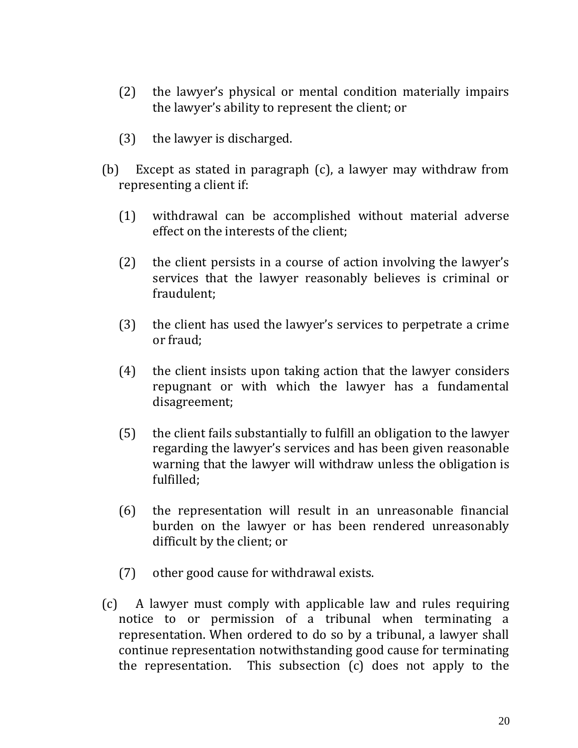- (2) the lawyer's physical or mental condition materially impairs the lawyer's ability to represent the client; or
- (3) the lawyer is discharged.
- (b) Except as stated in paragraph (c), a lawyer may withdraw from representing a client if:
	- (1) withdrawal can be accomplished without material adverse effect on the interests of the client;
	- (2) the client persists in a course of action involving the lawyer's services that the lawyer reasonably believes is criminal or fraudulent;
	- (3) the client has used the lawyer's services to perpetrate a crime or fraud;
	- (4) the client insists upon taking action that the lawyer considers repugnant or with which the lawyer has a fundamental disagreement;
	- (5) the client fails substantially to fulfill an obligation to the lawyer regarding the lawyer's services and has been given reasonable warning that the lawyer will withdraw unless the obligation is fulfilled;
	- (6) the representation will result in an unreasonable financial burden on the lawyer or has been rendered unreasonably difficult by the client; or
	- (7) other good cause for withdrawal exists.
- (c) A lawyer must comply with applicable law and rules requiring notice to or permission of a tribunal when terminating a representation. When ordered to do so by a tribunal, a lawyer shall continue representation notwithstanding good cause for terminating the representation. This subsection (c) does not apply to the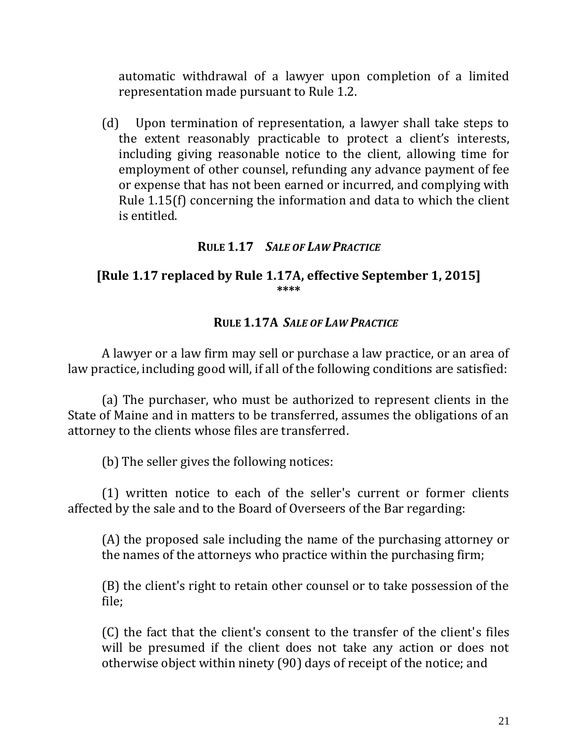automatic withdrawal of a lawyer upon completion of a limited representation made pursuant to Rule 1.2.

(d) Upon termination of representation, a lawyer shall take steps to the extent reasonably practicable to protect a client's interests, including giving reasonable notice to the client, allowing time for employment of other counsel, refunding any advance payment of fee or expense that has not been earned or incurred, and complying with Rule 1.15(f) concerning the information and data to which the client is entitled.

## **RULE 1.17** *SALE OF LAW PRACTICE*

#### <span id="page-38-0"></span>**[Rule 1.17 replaced by Rule 1.17A, effective September 1, 2015] \*\*\*\***

# **RULE 1.17A** *SALE OF LAW PRACTICE*

A lawyer or a law firm may sell or purchase a law practice, or an area of law practice, including good will, if all of the following conditions are satisfied:

(a) The purchaser, who must be authorized to represent clients in the State of Maine and in matters to be transferred, assumes the obligations of an attorney to the clients whose files are transferred.

(b) The seller gives the following notices:

(1) written notice to each of the seller's current or former clients affected by the sale and to the Board of Overseers of the Bar regarding:

(A) the proposed sale including the name of the purchasing attorney or the names of the attorneys who practice within the purchasing firm;

(B) the client's right to retain other counsel or to take possession of the file;

(C) the fact that the client's consent to the transfer of the client's files will be presumed if the client does not take any action or does not otherwise object within ninety (90) days of receipt of the notice; and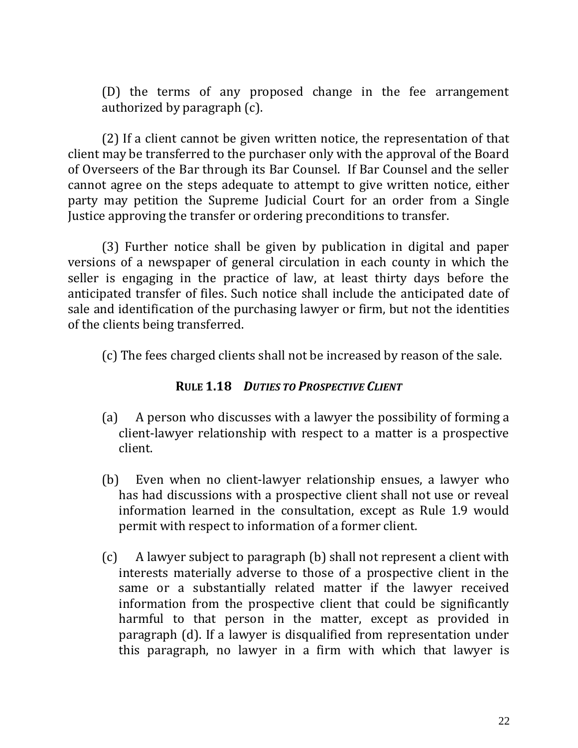(D) the terms of any proposed change in the fee arrangement authorized by paragraph (c).

(2) If a client cannot be given written notice, the representation of that client may be transferred to the purchaser only with the approval of the Board of Overseers of the Bar through its Bar Counsel. If Bar Counsel and the seller cannot agree on the steps adequate to attempt to give written notice, either party may petition the Supreme Judicial Court for an order from a Single Justice approving the transfer or ordering preconditions to transfer.

(3) Further notice shall be given by publication in digital and paper versions of a newspaper of general circulation in each county in which the seller is engaging in the practice of law, at least thirty days before the anticipated transfer of files. Such notice shall include the anticipated date of sale and identification of the purchasing lawyer or firm, but not the identities of the clients being transferred.

<span id="page-39-0"></span>(c) The fees charged clients shall not be increased by reason of the sale.

## **RULE 1.18** *DUTIES TO PROSPECTIVE CLIENT*

- (a) A person who discusses with a lawyer the possibility of forming a client-lawyer relationship with respect to a matter is a prospective client.
- (b) Even when no client-lawyer relationship ensues, a lawyer who has had discussions with a prospective client shall not use or reveal information learned in the consultation, except as Rule 1.9 would permit with respect to information of a former client.
- (c) A lawyer subject to paragraph (b) shall not represent a client with interests materially adverse to those of a prospective client in the same or a substantially related matter if the lawyer received information from the prospective client that could be significantly harmful to that person in the matter, except as provided in paragraph (d). If a lawyer is disqualified from representation under this paragraph, no lawyer in a firm with which that lawyer is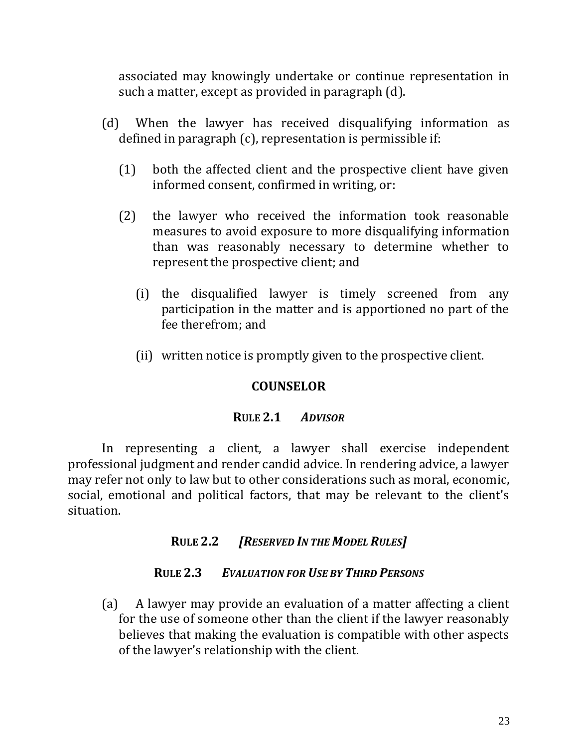associated may knowingly undertake or continue representation in such a matter, except as provided in paragraph (d).

- (d) When the lawyer has received disqualifying information as defined in paragraph (c), representation is permissible if:
	- (1) both the affected client and the prospective client have given informed consent, confirmed in writing, or:
	- (2) the lawyer who received the information took reasonable measures to avoid exposure to more disqualifying information than was reasonably necessary to determine whether to represent the prospective client; and
		- (i) the disqualified lawyer is timely screened from any participation in the matter and is apportioned no part of the fee therefrom; and
		- (ii) written notice is promptly given to the prospective client.

## **COUNSELOR**

#### **RULE 2.1** *ADVISOR*

<span id="page-40-1"></span><span id="page-40-0"></span>In representing a client, a lawyer shall exercise independent professional judgment and render candid advice. In rendering advice, a lawyer may refer not only to law but to other considerations such as moral, economic, social, emotional and political factors, that may be relevant to the client's situation.

## **RULE 2.2** *[RESERVED IN THE MODEL RULES]*

## **RULE 2.3** *EVALUATION FOR USE BY THIRD PERSONS*

<span id="page-40-3"></span><span id="page-40-2"></span>(a) A lawyer may provide an evaluation of a matter affecting a client for the use of someone other than the client if the lawyer reasonably believes that making the evaluation is compatible with other aspects of the lawyer's relationship with the client.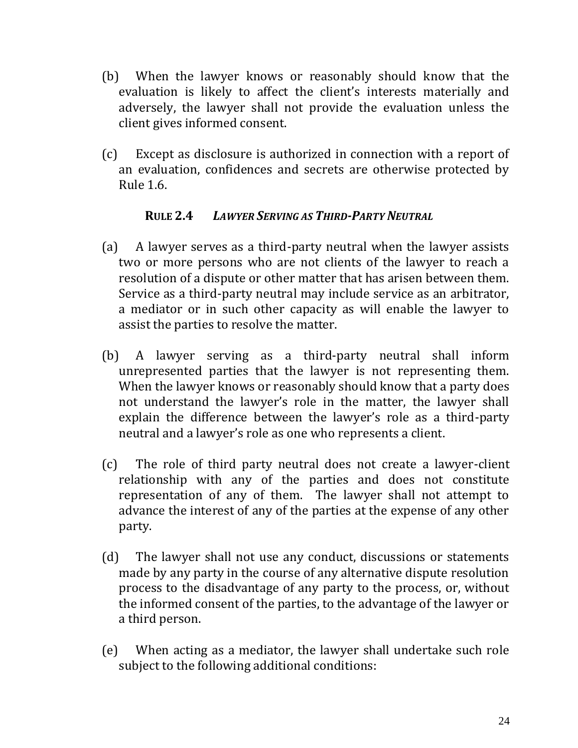- (b) When the lawyer knows or reasonably should know that the evaluation is likely to affect the client's interests materially and adversely, the lawyer shall not provide the evaluation unless the client gives informed consent.
- (c) Except as disclosure is authorized in connection with a report of an evaluation, confidences and secrets are otherwise protected by Rule 1.6.

# **RULE 2.4** *LAWYER SERVING AS THIRD-PARTY NEUTRAL*

- <span id="page-41-0"></span>(a) A lawyer serves as a third-party neutral when the lawyer assists two or more persons who are not clients of the lawyer to reach a resolution of a dispute or other matter that has arisen between them. Service as a third-party neutral may include service as an arbitrator, a mediator or in such other capacity as will enable the lawyer to assist the parties to resolve the matter.
- (b) A lawyer serving as a third-party neutral shall inform unrepresented parties that the lawyer is not representing them. When the lawyer knows or reasonably should know that a party does not understand the lawyer's role in the matter, the lawyer shall explain the difference between the lawyer's role as a third-party neutral and a lawyer's role as one who represents a client.
- (c) The role of third party neutral does not create a lawyer-client relationship with any of the parties and does not constitute representation of any of them. The lawyer shall not attempt to advance the interest of any of the parties at the expense of any other party.
- (d) The lawyer shall not use any conduct, discussions or statements made by any party in the course of any alternative dispute resolution process to the disadvantage of any party to the process, or, without the informed consent of the parties, to the advantage of the lawyer or a third person.
- (e) When acting as a mediator, the lawyer shall undertake such role subject to the following additional conditions: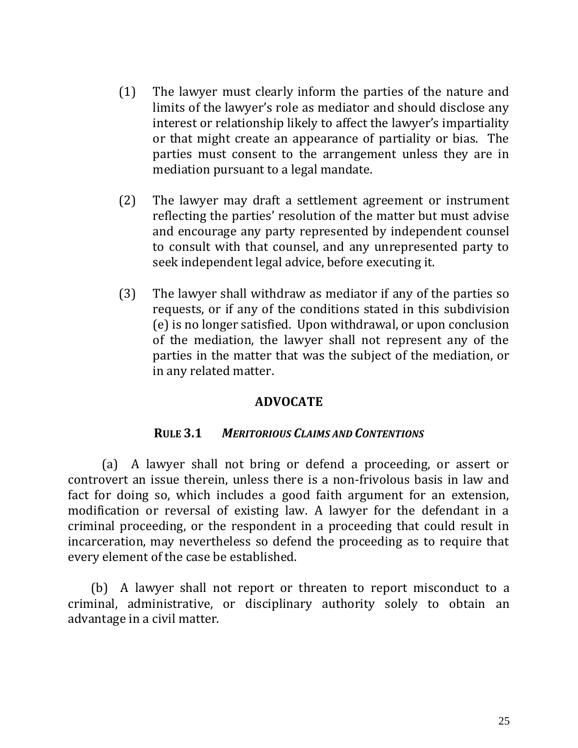- (1) The lawyer must clearly inform the parties of the nature and limits of the lawyer's role as mediator and should disclose any interest or relationship likely to affect the lawyer's impartiality or that might create an appearance of partiality or bias. The parties must consent to the arrangement unless they are in mediation pursuant to a legal mandate.
- (2) The lawyer may draft a settlement agreement or instrument reflecting the parties' resolution of the matter but must advise and encourage any party represented by independent counsel to consult with that counsel, and any unrepresented party to seek independent legal advice, before executing it.
- (3) The lawyer shall withdraw as mediator if any of the parties so requests, or if any of the conditions stated in this subdivision (e) is no longer satisfied. Upon withdrawal, or upon conclusion of the mediation, the lawyer shall not represent any of the parties in the matter that was the subject of the mediation, or in any related matter.

# **ADVOCATE**

## **RULE 3.1** *MERITORIOUS CLAIMS AND CONTENTIONS*

<span id="page-42-1"></span><span id="page-42-0"></span>(a) A lawyer shall not bring or defend a proceeding, or assert or controvert an issue therein, unless there is a non-frivolous basis in law and fact for doing so, which includes a good faith argument for an extension, modification or reversal of existing law. A lawyer for the defendant in a criminal proceeding, or the respondent in a proceeding that could result in incarceration, may nevertheless so defend the proceeding as to require that every element of the case be established.

 (b) A lawyer shall not report or threaten to report misconduct to a criminal, administrative, or disciplinary authority solely to obtain an advantage in a civil matter.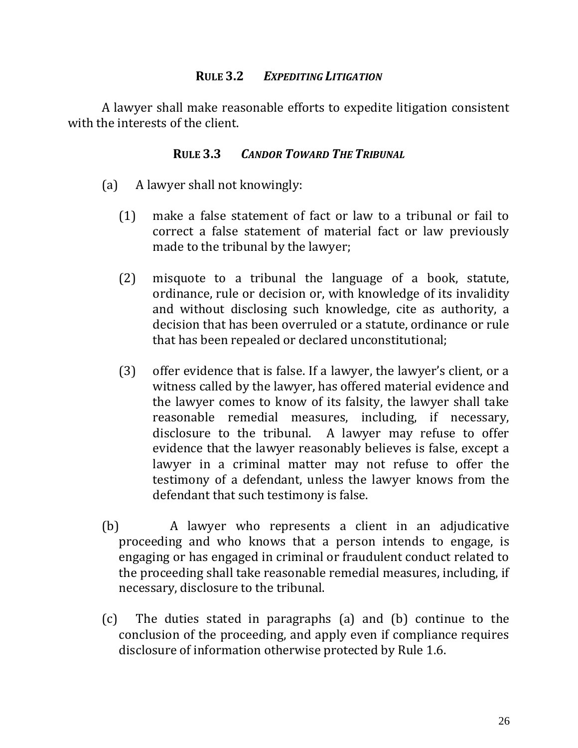#### **RULE 3.2** *EXPEDITING LITIGATION*

<span id="page-43-1"></span><span id="page-43-0"></span>A lawyer shall make reasonable efforts to expedite litigation consistent with the interests of the client.

#### **RULE 3.3** *CANDOR TOWARD THE TRIBUNAL*

- (a) A lawyer shall not knowingly:
	- (1) make a false statement of fact or law to a tribunal or fail to correct a false statement of material fact or law previously made to the tribunal by the lawyer;
	- (2) misquote to a tribunal the language of a book, statute, ordinance, rule or decision or, with knowledge of its invalidity and without disclosing such knowledge, cite as authority, a decision that has been overruled or a statute, ordinance or rule that has been repealed or declared unconstitutional;
	- (3) offer evidence that is false. If a lawyer, the lawyer's client, or a witness called by the lawyer, has offered material evidence and the lawyer comes to know of its falsity, the lawyer shall take reasonable remedial measures, including, if necessary, disclosure to the tribunal. A lawyer may refuse to offer evidence that the lawyer reasonably believes is false, except a lawyer in a criminal matter may not refuse to offer the testimony of a defendant, unless the lawyer knows from the defendant that such testimony is false.
- (b) A lawyer who represents a client in an adjudicative proceeding and who knows that a person intends to engage, is engaging or has engaged in criminal or fraudulent conduct related to the proceeding shall take reasonable remedial measures, including, if necessary, disclosure to the tribunal.
- (c) The duties stated in paragraphs (a) and (b) continue to the conclusion of the proceeding, and apply even if compliance requires disclosure of information otherwise protected by Rule 1.6.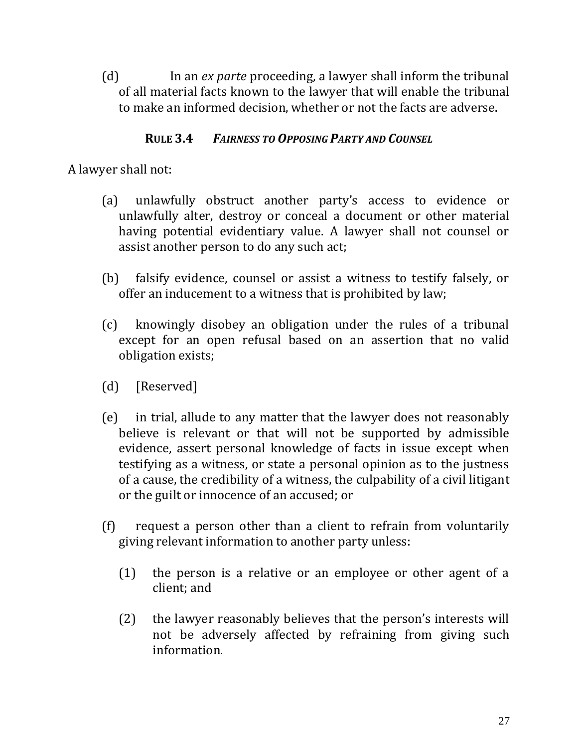(d) In an *ex parte* proceeding, a lawyer shall inform the tribunal of all material facts known to the lawyer that will enable the tribunal to make an informed decision, whether or not the facts are adverse.

## **RULE 3.4** *FAIRNESS TO OPPOSING PARTY AND COUNSEL*

<span id="page-44-0"></span>A lawyer shall not:

- (a) unlawfully obstruct another party's access to evidence or unlawfully alter, destroy or conceal a document or other material having potential evidentiary value. A lawyer shall not counsel or assist another person to do any such act;
- (b) falsify evidence, counsel or assist a witness to testify falsely, or offer an inducement to a witness that is prohibited by law;
- (c) knowingly disobey an obligation under the rules of a tribunal except for an open refusal based on an assertion that no valid obligation exists;
- (d) [Reserved]
- (e) in trial, allude to any matter that the lawyer does not reasonably believe is relevant or that will not be supported by admissible evidence, assert personal knowledge of facts in issue except when testifying as a witness, or state a personal opinion as to the justness of a cause, the credibility of a witness, the culpability of a civil litigant or the guilt or innocence of an accused; or
- (f) request a person other than a client to refrain from voluntarily giving relevant information to another party unless:
	- (1) the person is a relative or an employee or other agent of a client; and
	- (2) the lawyer reasonably believes that the person's interests will not be adversely affected by refraining from giving such information.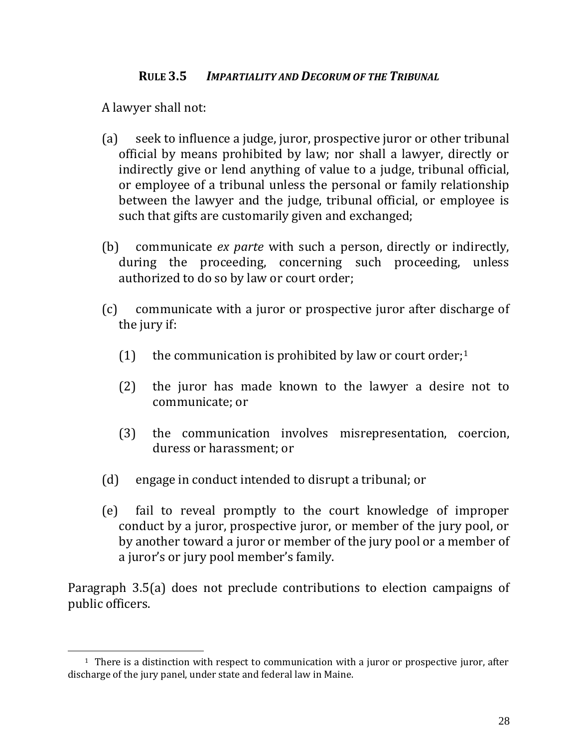## **RULE 3.5** *IMPARTIALITY AND DECORUM OF THE TRIBUNAL*

<span id="page-45-0"></span>A lawyer shall not:

 $\overline{a}$ 

- (a) seek to influence a judge, juror, prospective juror or other tribunal official by means prohibited by law; nor shall a lawyer, directly or indirectly give or lend anything of value to a judge, tribunal official, or employee of a tribunal unless the personal or family relationship between the lawyer and the judge, tribunal official, or employee is such that gifts are customarily given and exchanged;
- (b) communicate *ex parte* with such a person, directly or indirectly, during the proceeding, concerning such proceeding, unless authorized to do so by law or court order;
- (c) communicate with a juror or prospective juror after discharge of the jury if:
	- (1) the communication is prohibited by law or court order;<sup>1</sup>
	- (2) the juror has made known to the lawyer a desire not to communicate; or
	- (3) the communication involves misrepresentation, coercion, duress or harassment; or
- (d) engage in conduct intended to disrupt a tribunal; or
- (e) fail to reveal promptly to the court knowledge of improper conduct by a juror, prospective juror, or member of the jury pool, or by another toward a juror or member of the jury pool or a member of a juror's or jury pool member's family.

Paragraph 3.5(a) does not preclude contributions to election campaigns of public officers.

<sup>1</sup> There is a distinction with respect to communication with a juror or prospective juror, after discharge of the jury panel, under state and federal law in Maine.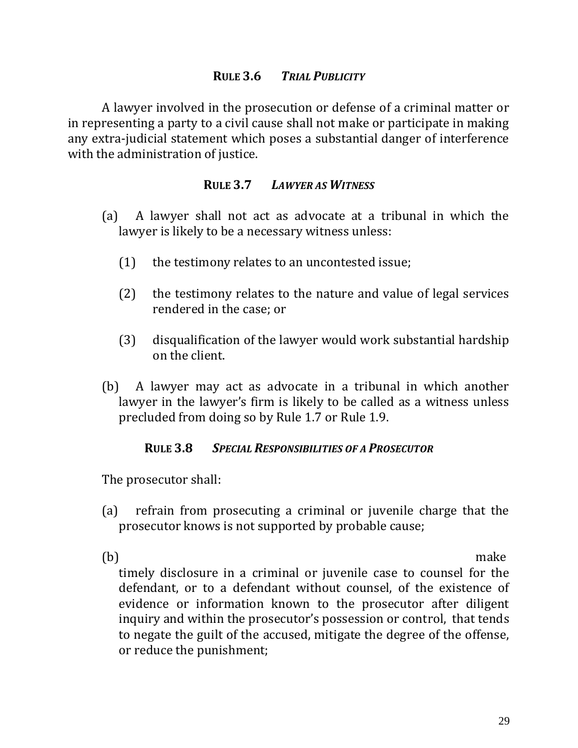#### **RULE 3.6** *TRIAL PUBLICITY*

<span id="page-46-0"></span>A lawyer involved in the prosecution or defense of a criminal matter or in representing a party to a civil cause shall not make or participate in making any extra-judicial statement which poses a substantial danger of interference with the administration of justice.

#### **RULE 3.7** *LAWYER AS WITNESS*

- <span id="page-46-1"></span>(a) A lawyer shall not act as advocate at a tribunal in which the lawyer is likely to be a necessary witness unless:
	- (1) the testimony relates to an uncontested issue;
	- (2) the testimony relates to the nature and value of legal services rendered in the case; or
	- (3) disqualification of the lawyer would work substantial hardship on the client.
- (b) A lawyer may act as advocate in a tribunal in which another lawyer in the lawyer's firm is likely to be called as a witness unless precluded from doing so by Rule 1.7 or Rule 1.9.

## **RULE 3.8** *SPECIAL RESPONSIBILITIES OF A PROSECUTOR*

<span id="page-46-2"></span>The prosecutor shall:

(a) refrain from prosecuting a criminal or juvenile charge that the prosecutor knows is not supported by probable cause;

(b) make timely disclosure in a criminal or juvenile case to counsel for the defendant, or to a defendant without counsel, of the existence of evidence or information known to the prosecutor after diligent inquiry and within the prosecutor's possession or control, that tends to negate the guilt of the accused, mitigate the degree of the offense, or reduce the punishment;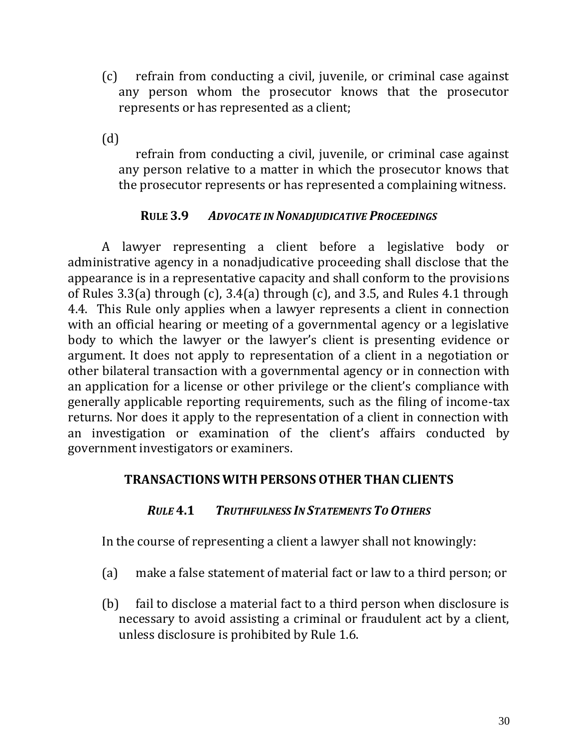(c) refrain from conducting a civil, juvenile, or criminal case against any person whom the prosecutor knows that the prosecutor represents or has represented as a client;

(d)

refrain from conducting a civil, juvenile, or criminal case against any person relative to a matter in which the prosecutor knows that the prosecutor represents or has represented a complaining witness.

## **RULE 3.9** *ADVOCATE IN NONADJUDICATIVE PROCEEDINGS*

<span id="page-47-0"></span>A lawyer representing a client before a legislative body or administrative agency in a nonadjudicative proceeding shall disclose that the appearance is in a representative capacity and shall conform to the provisions of Rules 3.3(a) through (c), 3.4(a) through (c), and 3.5, and Rules 4.1 through 4.4. This Rule only applies when a lawyer represents a client in connection with an official hearing or meeting of a governmental agency or a legislative body to which the lawyer or the lawyer's client is presenting evidence or argument. It does not apply to representation of a client in a negotiation or other bilateral transaction with a governmental agency or in connection with an application for a license or other privilege or the client's compliance with generally applicable reporting requirements, such as the filing of income-tax returns. Nor does it apply to the representation of a client in connection with an investigation or examination of the client's affairs conducted by government investigators or examiners.

#### **TRANSACTIONS WITH PERSONS OTHER THAN CLIENTS**

#### <span id="page-47-1"></span>*RULE* **4.1** *TRUTHFULNESS IN STATEMENTS TO OTHERS*

<span id="page-47-2"></span>In the course of representing a client a lawyer shall not knowingly:

- (a) make a false statement of material fact or law to a third person; or
- (b) fail to disclose a material fact to a third person when disclosure is necessary to avoid assisting a criminal or fraudulent act by a client, unless disclosure is prohibited by Rule 1.6.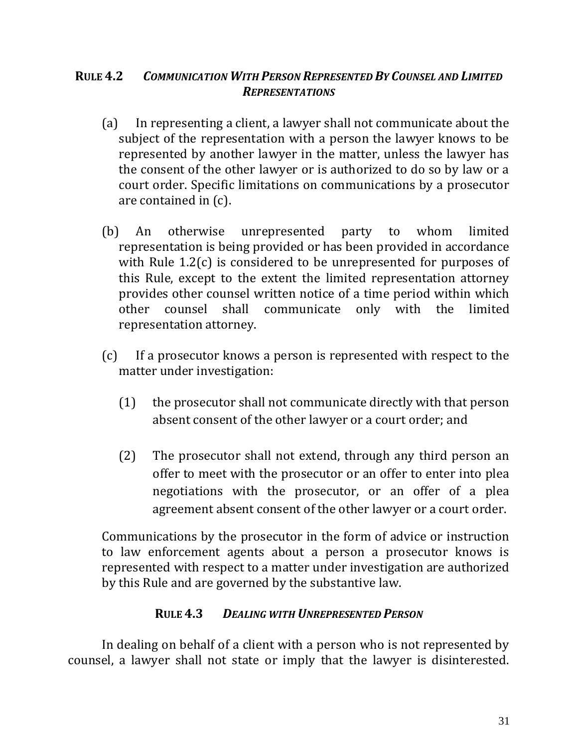# <span id="page-48-0"></span>**RULE 4.2** *COMMUNICATION WITH PERSON REPRESENTED BY COUNSEL AND LIMITED REPRESENTATIONS*

- (a) In representing a client, a lawyer shall not communicate about the subject of the representation with a person the lawyer knows to be represented by another lawyer in the matter, unless the lawyer has the consent of the other lawyer or is authorized to do so by law or a court order. Specific limitations on communications by a prosecutor are contained in (c).
- (b) An otherwise unrepresented party to whom limited representation is being provided or has been provided in accordance with Rule 1.2(c) is considered to be unrepresented for purposes of this Rule, except to the extent the limited representation attorney provides other counsel written notice of a time period within which other counsel shall communicate only with the limited representation attorney.
- (c) If a prosecutor knows a person is represented with respect to the matter under investigation:
	- (1) the prosecutor shall not communicate directly with that person absent consent of the other lawyer or a court order; and
	- (2) The prosecutor shall not extend, through any third person an offer to meet with the prosecutor or an offer to enter into plea negotiations with the prosecutor, or an offer of a plea agreement absent consent of the other lawyer or a court order.

Communications by the prosecutor in the form of advice or instruction to law enforcement agents about a person a prosecutor knows is represented with respect to a matter under investigation are authorized by this Rule and are governed by the substantive law.

# **RULE 4.3** *DEALING WITH UNREPRESENTED PERSON*

<span id="page-48-1"></span>In dealing on behalf of a client with a person who is not represented by counsel, a lawyer shall not state or imply that the lawyer is disinterested.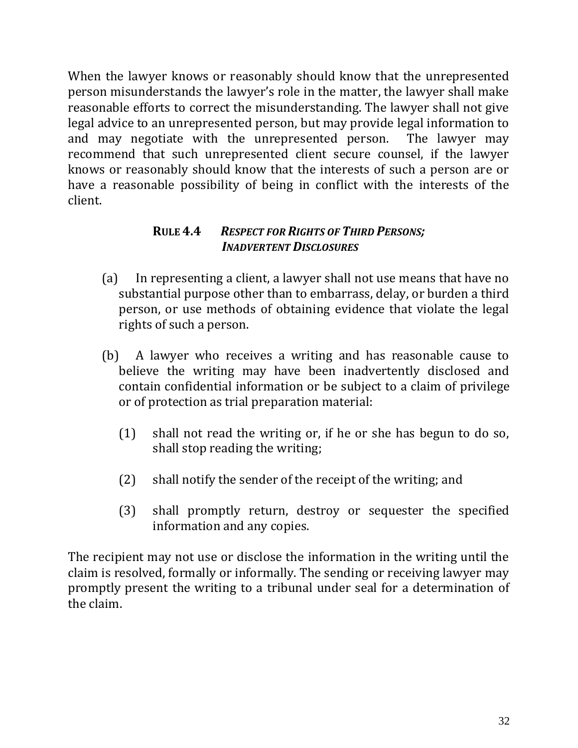When the lawyer knows or reasonably should know that the unrepresented person misunderstands the lawyer's role in the matter, the lawyer shall make reasonable efforts to correct the misunderstanding. The lawyer shall not give legal advice to an unrepresented person, but may provide legal information to and may negotiate with the unrepresented person. The lawyer may recommend that such unrepresented client secure counsel, if the lawyer knows or reasonably should know that the interests of such a person are or have a reasonable possibility of being in conflict with the interests of the client.

# <span id="page-49-1"></span>**RULE 4.4** *RESPECT FOR RIGHTS OF THIRD PERSONS; INADVERTENT DISCLOSURES*

- <span id="page-49-0"></span>(a) In representing a client, a lawyer shall not use means that have no substantial purpose other than to embarrass, delay, or burden a third person, or use methods of obtaining evidence that violate the legal rights of such a person.
- (b) A lawyer who receives a writing and has reasonable cause to believe the writing may have been inadvertently disclosed and contain confidential information or be subject to a claim of privilege or of protection as trial preparation material:
	- (1) shall not read the writing or, if he or she has begun to do so, shall stop reading the writing;
	- (2) shall notify the sender of the receipt of the writing; and
	- (3) shall promptly return, destroy or sequester the specified information and any copies.

The recipient may not use or disclose the information in the writing until the claim is resolved, formally or informally. The sending or receiving lawyer may promptly present the writing to a tribunal under seal for a determination of the claim.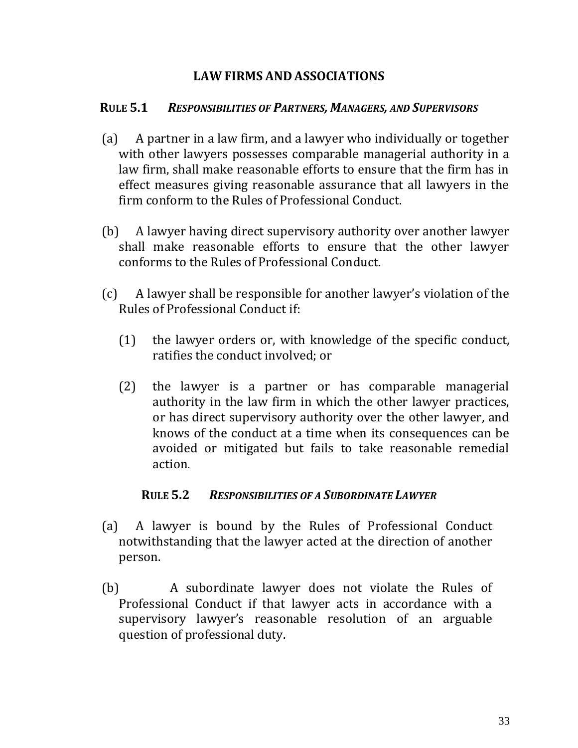## **LAW FIRMS AND ASSOCIATIONS**

#### <span id="page-50-1"></span><span id="page-50-0"></span>**RULE 5.1** *RESPONSIBILITIES OF PARTNERS, MANAGERS, AND SUPERVISORS*

- (a) A partner in a law firm, and a lawyer who individually or together with other lawyers possesses comparable managerial authority in a law firm, shall make reasonable efforts to ensure that the firm has in effect measures giving reasonable assurance that all lawyers in the firm conform to the Rules of Professional Conduct.
- (b) A lawyer having direct supervisory authority over another lawyer shall make reasonable efforts to ensure that the other lawyer conforms to the Rules of Professional Conduct.
- (c) A lawyer shall be responsible for another lawyer's violation of the Rules of Professional Conduct if:
	- (1) the lawyer orders or, with knowledge of the specific conduct, ratifies the conduct involved; or
	- (2) the lawyer is a partner or has comparable managerial authority in the law firm in which the other lawyer practices, or has direct supervisory authority over the other lawyer, and knows of the conduct at a time when its consequences can be avoided or mitigated but fails to take reasonable remedial action.

## <span id="page-50-2"></span>**RULE 5.2** *RESPONSIBILITIES OF A SUBORDINATE LAWYER*

- (a) A lawyer is bound by the Rules of Professional Conduct notwithstanding that the lawyer acted at the direction of another person.
- (b) A subordinate lawyer does not violate the Rules of Professional Conduct if that lawyer acts in accordance with a supervisory lawyer's reasonable resolution of an arguable question of professional duty.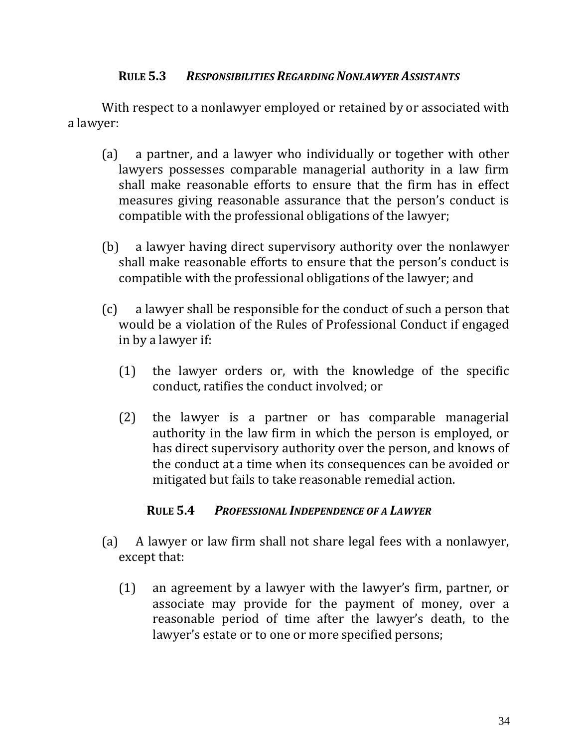## **RULE 5.3** *RESPONSIBILITIES REGARDING NONLAWYER ASSISTANTS*

<span id="page-51-0"></span>With respect to a nonlawyer employed or retained by or associated with a lawyer:

- (a) a partner, and a lawyer who individually or together with other lawyers possesses comparable managerial authority in a law firm shall make reasonable efforts to ensure that the firm has in effect measures giving reasonable assurance that the person's conduct is compatible with the professional obligations of the lawyer;
- (b) a lawyer having direct supervisory authority over the nonlawyer shall make reasonable efforts to ensure that the person's conduct is compatible with the professional obligations of the lawyer; and
- (c) a lawyer shall be responsible for the conduct of such a person that would be a violation of the Rules of Professional Conduct if engaged in by a lawyer if:
	- (1) the lawyer orders or, with the knowledge of the specific conduct, ratifies the conduct involved; or
	- (2) the lawyer is a partner or has comparable managerial authority in the law firm in which the person is employed, or has direct supervisory authority over the person, and knows of the conduct at a time when its consequences can be avoided or mitigated but fails to take reasonable remedial action.

# **RULE 5.4** *PROFESSIONAL INDEPENDENCE OF A LAWYER*

- <span id="page-51-1"></span>(a) A lawyer or law firm shall not share legal fees with a nonlawyer, except that:
	- (1) an agreement by a lawyer with the lawyer's firm, partner, or associate may provide for the payment of money, over a reasonable period of time after the lawyer's death, to the lawyer's estate or to one or more specified persons;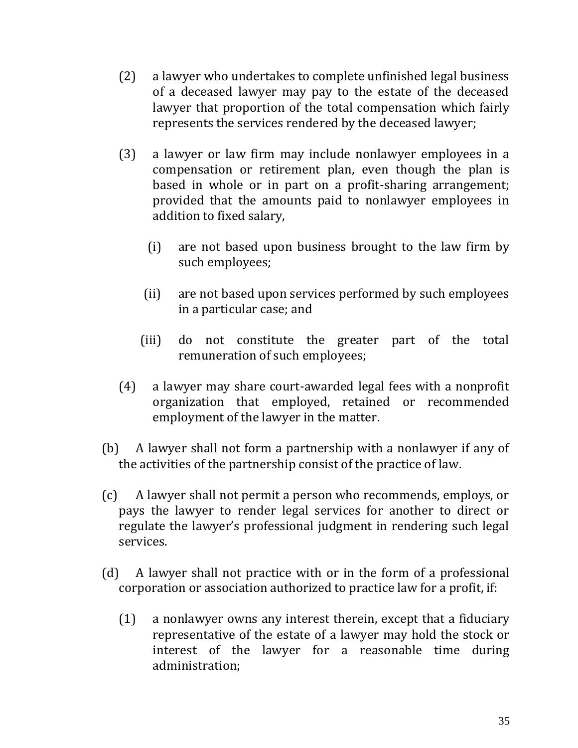- (2) a lawyer who undertakes to complete unfinished legal business of a deceased lawyer may pay to the estate of the deceased lawyer that proportion of the total compensation which fairly represents the services rendered by the deceased lawyer;
- (3) a lawyer or law firm may include nonlawyer employees in a compensation or retirement plan, even though the plan is based in whole or in part on a profit-sharing arrangement; provided that the amounts paid to nonlawyer employees in addition to fixed salary,
	- (i) are not based upon business brought to the law firm by such employees;
	- (ii) are not based upon services performed by such employees in a particular case; and
	- (iii) do not constitute the greater part of the total remuneration of such employees;
- (4) a lawyer may share court-awarded legal fees with a nonprofit organization that employed, retained or recommended employment of the lawyer in the matter.
- (b) A lawyer shall not form a partnership with a nonlawyer if any of the activities of the partnership consist of the practice of law.
- (c) A lawyer shall not permit a person who recommends, employs, or pays the lawyer to render legal services for another to direct or regulate the lawyer's professional judgment in rendering such legal services.
- (d) A lawyer shall not practice with or in the form of a professional corporation or association authorized to practice law for a profit, if:
	- (1) a nonlawyer owns any interest therein, except that a fiduciary representative of the estate of a lawyer may hold the stock or interest of the lawyer for a reasonable time during administration;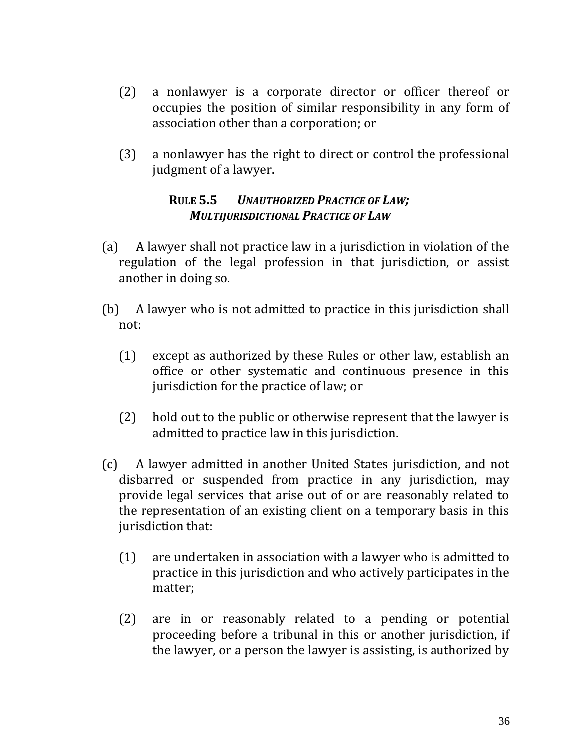- (2) a nonlawyer is a corporate director or officer thereof or occupies the position of similar responsibility in any form of association other than a corporation; or
- (3) a nonlawyer has the right to direct or control the professional judgment of a lawyer.

## <span id="page-53-1"></span>**RULE 5.5** *UNAUTHORIZED PRACTICE OF LAW; MULTIJURISDICTIONAL PRACTICE OF LAW*

- <span id="page-53-0"></span>(a) A lawyer shall not practice law in a jurisdiction in violation of the regulation of the legal profession in that jurisdiction, or assist another in doing so.
- (b) A lawyer who is not admitted to practice in this jurisdiction shall not:
	- (1) except as authorized by these Rules or other law, establish an office or other systematic and continuous presence in this jurisdiction for the practice of law; or
	- (2) hold out to the public or otherwise represent that the lawyer is admitted to practice law in this jurisdiction.
- (c) A lawyer admitted in another United States jurisdiction, and not disbarred or suspended from practice in any jurisdiction, may provide legal services that arise out of or are reasonably related to the representation of an existing client on a temporary basis in this jurisdiction that:
	- (1) are undertaken in association with a lawyer who is admitted to practice in this jurisdiction and who actively participates in the matter;
	- (2) are in or reasonably related to a pending or potential proceeding before a tribunal in this or another jurisdiction, if the lawyer, or a person the lawyer is assisting, is authorized by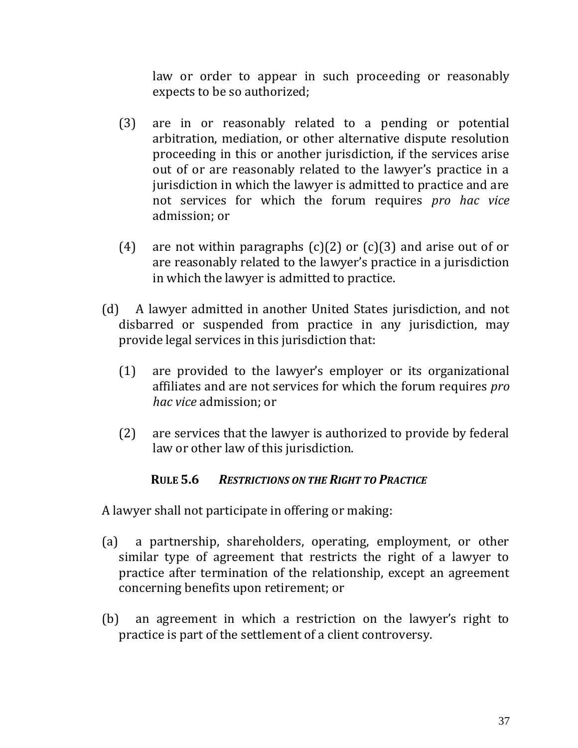law or order to appear in such proceeding or reasonably expects to be so authorized;

- (3) are in or reasonably related to a pending or potential arbitration, mediation, or other alternative dispute resolution proceeding in this or another jurisdiction, if the services arise out of or are reasonably related to the lawyer's practice in a jurisdiction in which the lawyer is admitted to practice and are not services for which the forum requires *pro hac vice* admission; or
- (4) are not within paragraphs  $(c)(2)$  or  $(c)(3)$  and arise out of or are reasonably related to the lawyer's practice in a jurisdiction in which the lawyer is admitted to practice.
- (d) A lawyer admitted in another United States jurisdiction, and not disbarred or suspended from practice in any jurisdiction, may provide legal services in this jurisdiction that:
	- (1) are provided to the lawyer's employer or its organizational affiliates and are not services for which the forum requires *pro hac vice* admission; or
	- (2) are services that the lawyer is authorized to provide by federal law or other law of this jurisdiction.

# **RULE 5.6** *RESTRICTIONS ON THE RIGHT TO PRACTICE*

<span id="page-54-0"></span>A lawyer shall not participate in offering or making:

- (a) a partnership, shareholders, operating, employment, or other similar type of agreement that restricts the right of a lawyer to practice after termination of the relationship, except an agreement concerning benefits upon retirement; or
- (b) an agreement in which a restriction on the lawyer's right to practice is part of the settlement of a client controversy.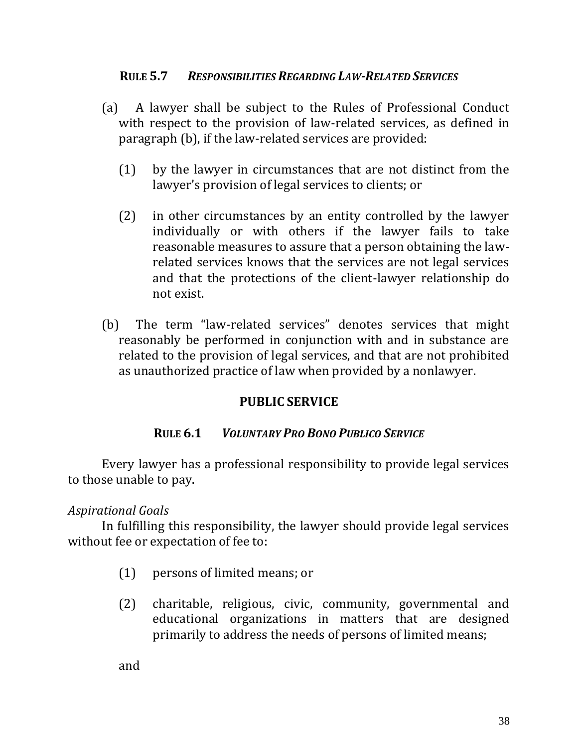## **RULE 5.7** *RESPONSIBILITIES REGARDING LAW-RELATED SERVICES*

- <span id="page-55-0"></span>(a) A lawyer shall be subject to the Rules of Professional Conduct with respect to the provision of law-related services, as defined in paragraph (b), if the law-related services are provided:
	- (1) by the lawyer in circumstances that are not distinct from the lawyer's provision of legal services to clients; or
	- (2) in other circumstances by an entity controlled by the lawyer individually or with others if the lawyer fails to take reasonable measures to assure that a person obtaining the lawrelated services knows that the services are not legal services and that the protections of the client-lawyer relationship do not exist.
- (b) The term "law-related services" denotes services that might reasonably be performed in conjunction with and in substance are related to the provision of legal services, and that are not prohibited as unauthorized practice of law when provided by a nonlawyer.

# **PUBLIC SERVICE**

# **RULE 6.1** *VOLUNTARY PRO BONO PUBLICO SERVICE*

<span id="page-55-2"></span><span id="page-55-1"></span>Every lawyer has a professional responsibility to provide legal services to those unable to pay.

# *Aspirational Goals*

In fulfilling this responsibility, the lawyer should provide legal services without fee or expectation of fee to:

- (1) persons of limited means; or
- (2) charitable, religious, civic, community, governmental and educational organizations in matters that are designed primarily to address the needs of persons of limited means;

and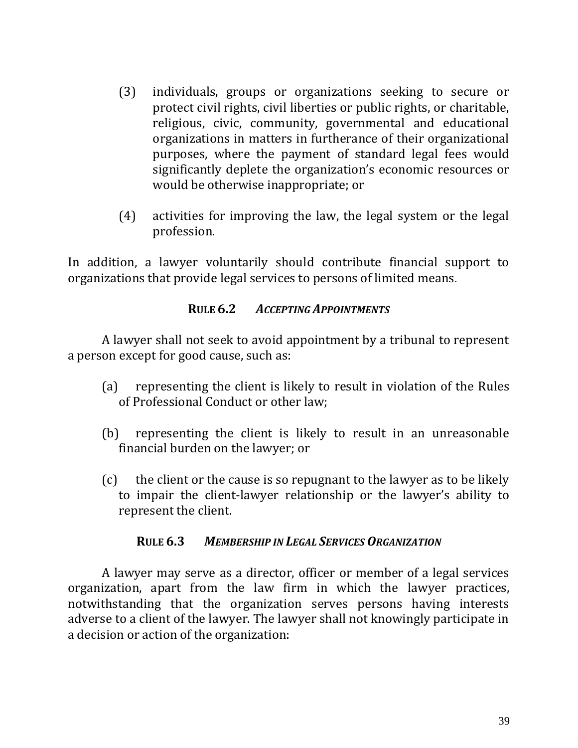- (3) individuals, groups or organizations seeking to secure or protect civil rights, civil liberties or public rights, or charitable, religious, civic, community, governmental and educational organizations in matters in furtherance of their organizational purposes, where the payment of standard legal fees would significantly deplete the organization's economic resources or would be otherwise inappropriate; or
- (4) activities for improving the law, the legal system or the legal profession.

In addition, a lawyer voluntarily should contribute financial support to organizations that provide legal services to persons of limited means.

## **RULE 6.2** *ACCEPTING APPOINTMENTS*

<span id="page-56-0"></span>A lawyer shall not seek to avoid appointment by a tribunal to represent a person except for good cause, such as:

- (a) representing the client is likely to result in violation of the Rules of Professional Conduct or other law;
- (b) representing the client is likely to result in an unreasonable financial burden on the lawyer; or
- (c) the client or the cause is so repugnant to the lawyer as to be likely to impair the client-lawyer relationship or the lawyer's ability to represent the client.

## **RULE 6.3** *MEMBERSHIP IN LEGAL SERVICES ORGANIZATION*

<span id="page-56-1"></span>A lawyer may serve as a director, officer or member of a legal services organization, apart from the law firm in which the lawyer practices, notwithstanding that the organization serves persons having interests adverse to a client of the lawyer. The lawyer shall not knowingly participate in a decision or action of the organization: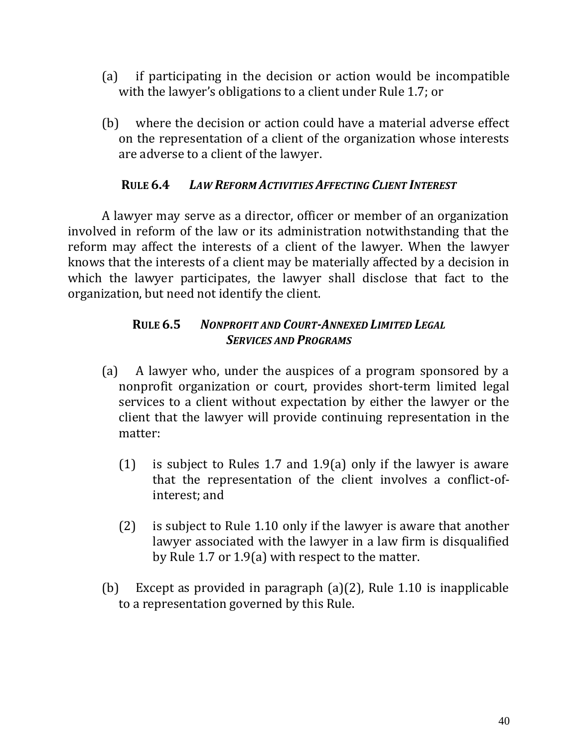- (a) if participating in the decision or action would be incompatible with the lawyer's obligations to a client under Rule 1.7; or
- (b) where the decision or action could have a material adverse effect on the representation of a client of the organization whose interests are adverse to a client of the lawyer.

## **RULE 6.4** *LAW REFORM ACTIVITIES AFFECTING CLIENT INTEREST*

<span id="page-57-0"></span>A lawyer may serve as a director, officer or member of an organization involved in reform of the law or its administration notwithstanding that the reform may affect the interests of a client of the lawyer. When the lawyer knows that the interests of a client may be materially affected by a decision in which the lawyer participates, the lawyer shall disclose that fact to the organization, but need not identify the client.

# **RULE 6.5** *NONPROFIT AND COURT-ANNEXED LIMITED LEGAL SERVICES AND PROGRAMS*

- <span id="page-57-2"></span><span id="page-57-1"></span>(a) A lawyer who, under the auspices of a program sponsored by a nonprofit organization or court, provides short-term limited legal services to a client without expectation by either the lawyer or the client that the lawyer will provide continuing representation in the matter:
	- (1) is subject to Rules 1.7 and 1.9(a) only if the lawyer is aware that the representation of the client involves a conflict-ofinterest; and
	- (2) is subject to Rule 1.10 only if the lawyer is aware that another lawyer associated with the lawyer in a law firm is disqualified by Rule 1.7 or 1.9(a) with respect to the matter.
- (b) Except as provided in paragraph (a)(2), Rule 1.10 is inapplicable to a representation governed by this Rule.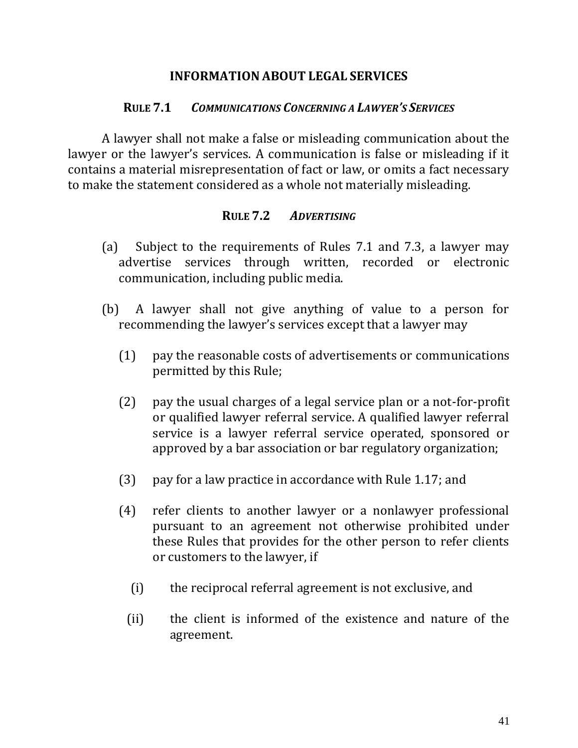#### **INFORMATIONABOUT LEGAL SERVICES**

#### **RULE 7.1** *COMMUNICATIONS CONCERNING A LAWYER'S SERVICES*

<span id="page-58-1"></span><span id="page-58-0"></span>A lawyer shall not make a false or misleading communication about the lawyer or the lawyer's services. A communication is false or misleading if it contains a material misrepresentation of fact or law, or omits a fact necessary to make the statement considered as a whole not materially misleading.

#### **RULE 7.2** *ADVERTISING*

- <span id="page-58-2"></span>(a) Subject to the requirements of Rules 7.1 and 7.3, a lawyer may advertise services through written, recorded or electronic communication, including public media.
- (b) A lawyer shall not give anything of value to a person for recommending the lawyer's services except that a lawyer may
	- (1) pay the reasonable costs of advertisements or communications permitted by this Rule;
	- (2) pay the usual charges of a legal service plan or a not-for-profit or qualified lawyer referral service. A qualified lawyer referral service is a lawyer referral service operated, sponsored or approved by a bar association or bar regulatory organization;
	- (3) pay for a law practice in accordance with Rule 1.17; and
	- (4) refer clients to another lawyer or a nonlawyer professional pursuant to an agreement not otherwise prohibited under these Rules that provides for the other person to refer clients or customers to the lawyer, if
		- (i) the reciprocal referral agreement is not exclusive, and
		- (ii) the client is informed of the existence and nature of the agreement.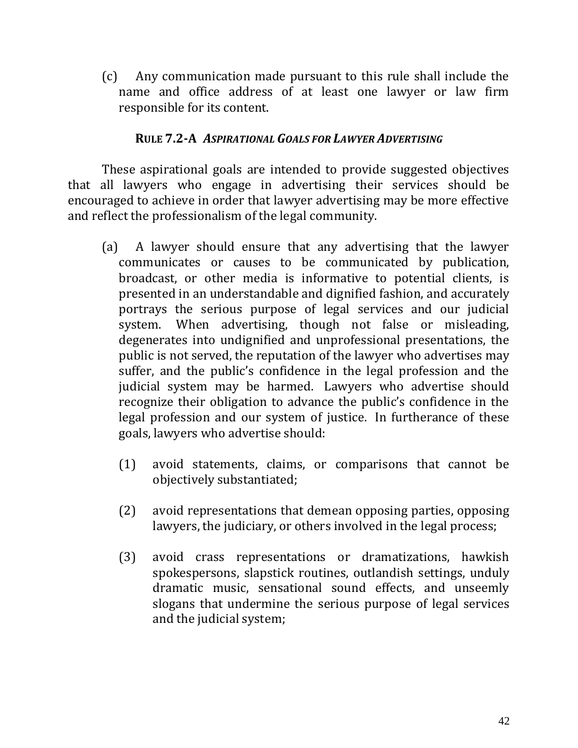(c) Any communication made pursuant to this rule shall include the name and office address of at least one lawyer or law firm responsible for its content.

#### **RULE 7.2-A** *ASPIRATIONAL GOALS FOR LAWYER ADVERTISING*

<span id="page-59-0"></span>These aspirational goals are intended to provide suggested objectives that all lawyers who engage in advertising their services should be encouraged to achieve in order that lawyer advertising may be more effective and reflect the professionalism of the legal community.

- (a) A lawyer should ensure that any advertising that the lawyer communicates or causes to be communicated by publication, broadcast, or other media is informative to potential clients, is presented in an understandable and dignified fashion, and accurately portrays the serious purpose of legal services and our judicial system. When advertising, though not false or misleading, degenerates into undignified and unprofessional presentations, the public is not served, the reputation of the lawyer who advertises may suffer, and the public's confidence in the legal profession and the judicial system may be harmed. Lawyers who advertise should recognize their obligation to advance the public's confidence in the legal profession and our system of justice. In furtherance of these goals, lawyers who advertise should:
	- (1) avoid statements, claims, or comparisons that cannot be objectively substantiated;
	- (2) avoid representations that demean opposing parties, opposing lawyers, the judiciary, or others involved in the legal process;
	- (3) avoid crass representations or dramatizations, hawkish spokespersons, slapstick routines, outlandish settings, unduly dramatic music, sensational sound effects, and unseemly slogans that undermine the serious purpose of legal services and the judicial system;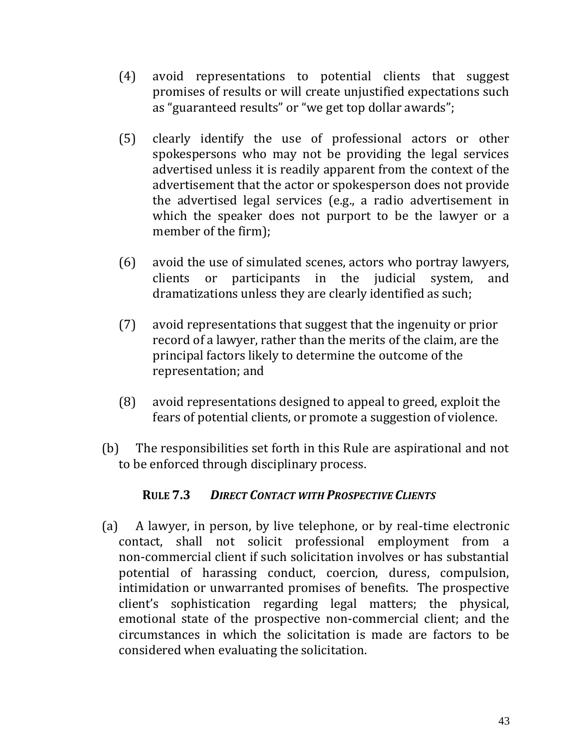- (4) avoid representations to potential clients that suggest promises of results or will create unjustified expectations such as "guaranteed results" or "we get top dollar awards";
- (5) clearly identify the use of professional actors or other spokespersons who may not be providing the legal services advertised unless it is readily apparent from the context of the advertisement that the actor or spokesperson does not provide the advertised legal services (e.g., a radio advertisement in which the speaker does not purport to be the lawyer or a member of the firm);
- (6) avoid the use of simulated scenes, actors who portray lawyers, clients or participants in the judicial system, and dramatizations unless they are clearly identified as such;
- (7) avoid representations that suggest that the ingenuity or prior record of a lawyer, rather than the merits of the claim, are the principal factors likely to determine the outcome of the representation; and
- (8) avoid representations designed to appeal to greed, exploit the fears of potential clients, or promote a suggestion of violence.
- (b) The responsibilities set forth in this Rule are aspirational and not to be enforced through disciplinary process.

# **RULE 7.3** *DIRECT CONTACT WITH PROSPECTIVE CLIENTS*

<span id="page-60-0"></span>(a) A lawyer, in person, by live telephone, or by real-time electronic contact, shall not solicit professional employment from a non-commercial client if such solicitation involves or has substantial potential of harassing conduct, coercion, duress, compulsion, intimidation or unwarranted promises of benefits. The prospective client's sophistication regarding legal matters; the physical, emotional state of the prospective non-commercial client; and the circumstances in which the solicitation is made are factors to be considered when evaluating the solicitation.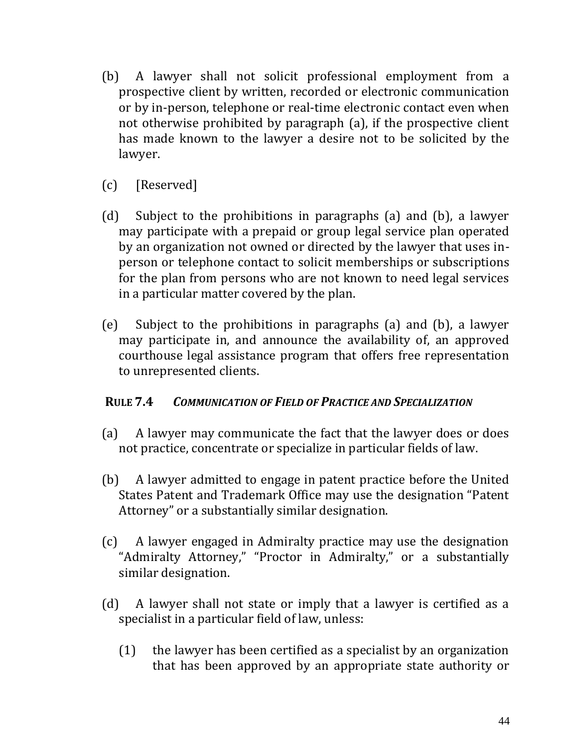- (b) A lawyer shall not solicit professional employment from a prospective client by written, recorded or electronic communication or by in-person, telephone or real-time electronic contact even when not otherwise prohibited by paragraph (a), if the prospective client has made known to the lawyer a desire not to be solicited by the lawyer.
- (c) [Reserved]
- (d) Subject to the prohibitions in paragraphs (a) and (b), a lawyer may participate with a prepaid or group legal service plan operated by an organization not owned or directed by the lawyer that uses inperson or telephone contact to solicit memberships or subscriptions for the plan from persons who are not known to need legal services in a particular matter covered by the plan.
- (e) Subject to the prohibitions in paragraphs (a) and (b), a lawyer may participate in, and announce the availability of, an approved courthouse legal assistance program that offers free representation to unrepresented clients.

# <span id="page-61-0"></span>**RULE 7.4** *COMMUNICATION OF FIELD OF PRACTICE AND SPECIALIZATION*

- (a) A lawyer may communicate the fact that the lawyer does or does not practice, concentrate or specialize in particular fields of law.
- (b) A lawyer admitted to engage in patent practice before the United States Patent and Trademark Office may use the designation "Patent Attorney" or a substantially similar designation.
- (c) A lawyer engaged in Admiralty practice may use the designation "Admiralty Attorney," "Proctor in Admiralty," or a substantially similar designation.
- (d) A lawyer shall not state or imply that a lawyer is certified as a specialist in a particular field of law, unless:
	- (1) the lawyer has been certified as a specialist by an organization that has been approved by an appropriate state authority or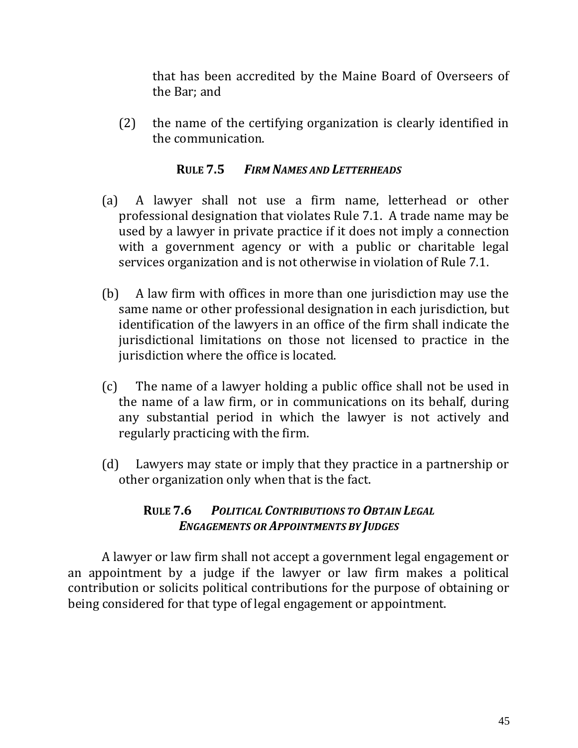that has been accredited by the Maine Board of Overseers of the Bar; and

(2) the name of the certifying organization is clearly identified in the communication.

## **RULE 7.5** *FIRM NAMES AND LETTERHEADS*

- <span id="page-62-0"></span>(a) A lawyer shall not use a firm name, letterhead or other professional designation that violates Rule 7.1. A trade name may be used by a lawyer in private practice if it does not imply a connection with a government agency or with a public or charitable legal services organization and is not otherwise in violation of Rule 7.1.
- (b) A law firm with offices in more than one jurisdiction may use the same name or other professional designation in each jurisdiction, but identification of the lawyers in an office of the firm shall indicate the jurisdictional limitations on those not licensed to practice in the jurisdiction where the office is located.
- (c) The name of a lawyer holding a public office shall not be used in the name of a law firm, or in communications on its behalf, during any substantial period in which the lawyer is not actively and regularly practicing with the firm.
- (d) Lawyers may state or imply that they practice in a partnership or other organization only when that is the fact.

# **RULE 7.6** *POLITICAL CONTRIBUTIONS TO OBTAIN LEGAL ENGAGEMENTS OR APPOINTMENTS BY JUDGES*

<span id="page-62-1"></span>A lawyer or law firm shall not accept a government legal engagement or an appointment by a judge if the lawyer or law firm makes a political contribution or solicits political contributions for the purpose of obtaining or being considered for that type of legal engagement or appointment.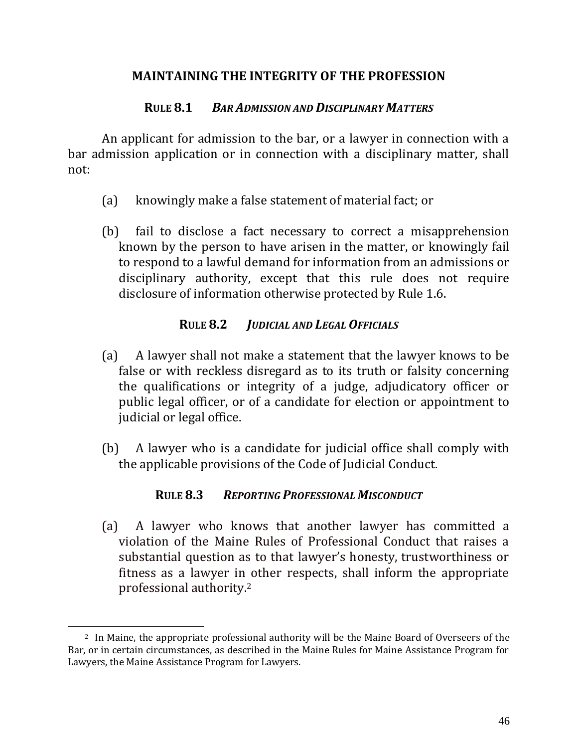#### **MAINTAINING THE INTEGRITY OF THE PROFESSION**

#### **RULE 8.1** *BAR ADMISSION AND DISCIPLINARY MATTERS*

<span id="page-63-0"></span>An applicant for admission to the bar, or a lawyer in connection with a bar admission application or in connection with a disciplinary matter, shall not:

- (a) knowingly make a false statement of material fact; or
- (b) fail to disclose a fact necessary to correct a misapprehension known by the person to have arisen in the matter, or knowingly fail to respond to a lawful demand for information from an admissions or disciplinary authority, except that this rule does not require disclosure of information otherwise protected by Rule 1.6.

#### **RULE 8.2** *JUDICIAL AND LEGAL OFFICIALS*

- <span id="page-63-1"></span>(a) A lawyer shall not make a statement that the lawyer knows to be false or with reckless disregard as to its truth or falsity concerning the qualifications or integrity of a judge, adjudicatory officer or public legal officer, or of a candidate for election or appointment to judicial or legal office.
- (b) A lawyer who is a candidate for judicial office shall comply with the applicable provisions of the Code of Judicial Conduct.

## **RULE 8.3** *REPORTING PROFESSIONAL MISCONDUCT*

<span id="page-63-2"></span>(a) A lawyer who knows that another lawyer has committed a violation of the Maine Rules of Professional Conduct that raises a substantial question as to that lawyer's honesty, trustworthiness or fitness as a lawyer in other respects, shall inform the appropriate professional authority.<sup>2</sup>

 $\overline{a}$ 

 $2\;$  In Maine, the appropriate professional authority will be the Maine Board of Overseers of the Bar, or in certain circumstances, as described in the Maine Rules for Maine Assistance Program for Lawyers, the Maine Assistance Program for Lawyers.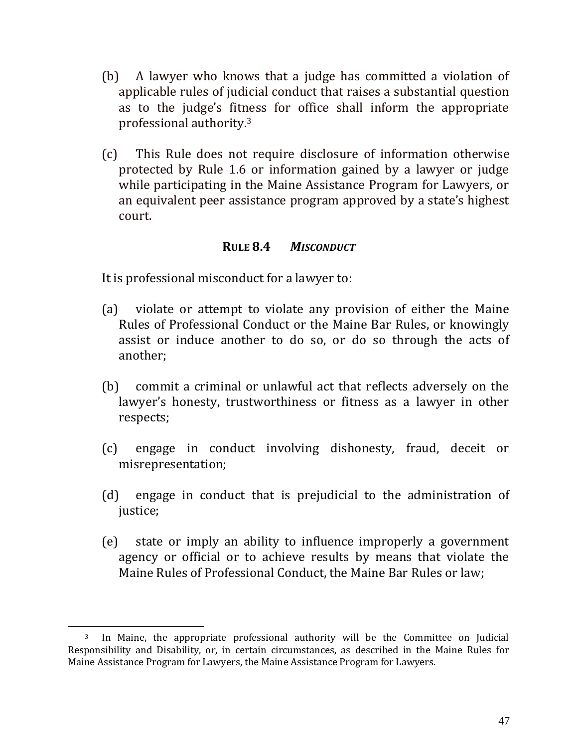- (b) A lawyer who knows that a judge has committed a violation of applicable rules of judicial conduct that raises a substantial question as to the judge's fitness for office shall inform the appropriate professional authority.<sup>3</sup>
- (c) This Rule does not require disclosure of information otherwise protected by Rule 1.6 or information gained by a lawyer or judge while participating in the Maine Assistance Program for Lawyers, or an equivalent peer assistance program approved by a state's highest court.

#### **RULE 8.4** *MISCONDUCT*

<span id="page-64-0"></span>It is professional misconduct for a lawyer to:

- (a) violate or attempt to violate any provision of either the Maine Rules of Professional Conduct or the Maine Bar Rules, or knowingly assist or induce another to do so, or do so through the acts of another;
- (b) commit a criminal or unlawful act that reflects adversely on the lawyer's honesty, trustworthiness or fitness as a lawyer in other respects;
- (c) engage in conduct involving dishonesty, fraud, deceit or misrepresentation;
- (d) engage in conduct that is prejudicial to the administration of justice;
- (e) state or imply an ability to influence improperly a government agency or official or to achieve results by means that violate the Maine Rules of Professional Conduct, the Maine Bar Rules or law;

 $\overline{a}$ 

<sup>3</sup> In Maine, the appropriate professional authority will be the Committee on Judicial Responsibility and Disability, or, in certain circumstances, as described in the Maine Rules for Maine Assistance Program for Lawyers, the Maine Assistance Program for Lawyers.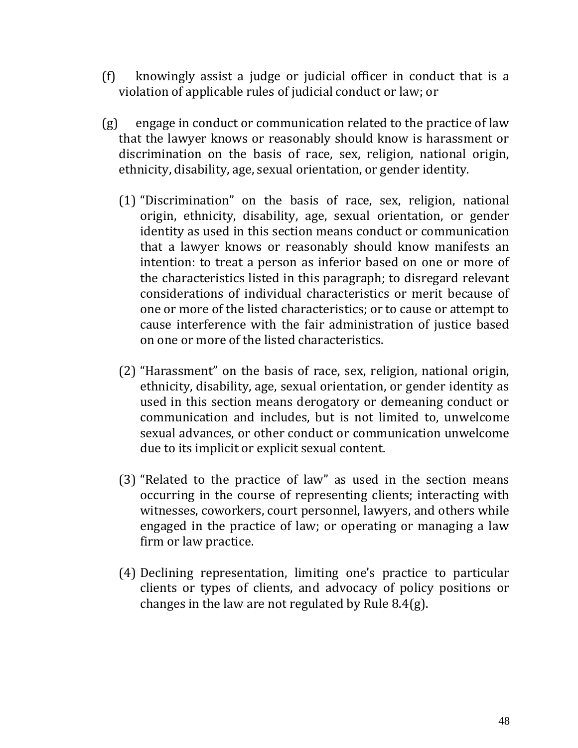- (f) knowingly assist a judge or judicial officer in conduct that is a violation of applicable rules of judicial conduct or law; or
- (g) engage in conduct or communication related to the practice of law that the lawyer knows or reasonably should know is harassment or discrimination on the basis of race, sex, religion, national origin, ethnicity, disability, age, sexual orientation, or gender identity.
	- (1) "Discrimination" on the basis of race, sex, religion, national origin, ethnicity, disability, age, sexual orientation, or gender identity as used in this section means conduct or communication that a lawyer knows or reasonably should know manifests an intention: to treat a person as inferior based on one or more of the characteristics listed in this paragraph; to disregard relevant considerations of individual characteristics or merit because of one or more of the listed characteristics; or to cause or attempt to cause interference with the fair administration of justice based on one or more of the listed characteristics.
	- (2) "Harassment" on the basis of race, sex, religion, national origin, ethnicity, disability, age, sexual orientation, or gender identity as used in this section means derogatory or demeaning conduct or communication and includes, but is not limited to, unwelcome sexual advances, or other conduct or communication unwelcome due to its implicit or explicit sexual content.
	- (3) "Related to the practice of law" as used in the section means occurring in the course of representing clients; interacting with witnesses, coworkers, court personnel, lawyers, and others while engaged in the practice of law; or operating or managing a law firm or law practice.
	- (4) Declining representation, limiting one's practice to particular clients or types of clients, and advocacy of policy positions or changes in the law are not regulated by Rule 8.4(g).